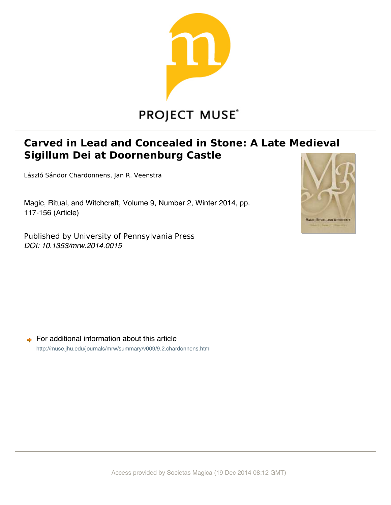

# **PROJECT MUSE®**

# Carved in Lead and Concealed in Stone: A Late Medieval Sigillum Dei at Doornenburg Castle

László Sándor Chardonnens, Jan R. Veenstra

Magic, Ritual, and Witchcraft, Volume 9, Number 2, Winter 2014, pp. 117-156 (Article)

Published by University of Pennsylvania Press *DOI: 10.1353/mrw.2014.0015*



 $\rightarrow$  For additional information about this article http://muse.jhu.edu/journals/mrw/summary/v009/9.2.chardonnens.html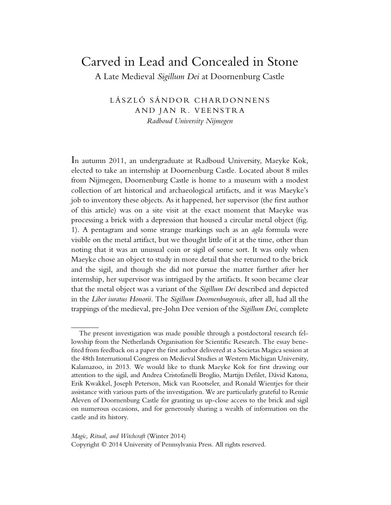## Carved in Lead and Concealed in Stone

A Late Medieval *Sigillum Dei* at Doornenburg Castle

LÁSZLÓ SÁNDOR CHARDONNENS AND JAN R. VEENSTRA *Radboud University Nijmegen*

In autumn 2011, an undergraduate at Radboud University, Maeyke Kok, elected to take an internship at Doornenburg Castle. Located about 8 miles from Nijmegen, Doornenburg Castle is home to a museum with a modest collection of art historical and archaeological artifacts, and it was Maeyke's job to inventory these objects. As it happened, her supervisor (the first author of this article) was on a site visit at the exact moment that Maeyke was processing a brick with a depression that housed a circular metal object (fig. 1). A pentagram and some strange markings such as an *agla* formula were visible on the metal artifact, but we thought little of it at the time, other than noting that it was an unusual coin or sigil of some sort. It was only when Maeyke chose an object to study in more detail that she returned to the brick and the sigil, and though she did not pursue the matter further after her internship, her supervisor was intrigued by the artifacts. It soon became clear that the metal object was a variant of the *Sigillum Dei* described and depicted in the *Liber iuratus Honorii*. The *Sigillum Doornenburgensis*, after all, had all the trappings of the medieval, pre-John Dee version of the *Sigillum Dei*, complete

The present investigation was made possible through a postdoctoral research fellowship from the Netherlands Organisation for Scientific Research. The essay benefited from feedback on a paper the first author delivered at a Societas Magica session at the 48th International Congress on Medieval Studies at Western Michigan University, Kalamazoo, in 2013. We would like to thank Maeyke Kok for first drawing our attention to the sigil, and Andrea Cristofanelli Broglio, Martijn Defilet, Dávid Katona, Erik Kwakkel, Joseph Peterson, Mick van Rootseler, and Ronald Wientjes for their assistance with various parts of the investigation. We are particularly grateful to Remie Aleven of Doornenburg Castle for granting us up-close access to the brick and sigil on numerous occasions, and for generously sharing a wealth of information on the castle and its history.

Copyright © 2014 University of Pennsylvania Press. All rights reserved.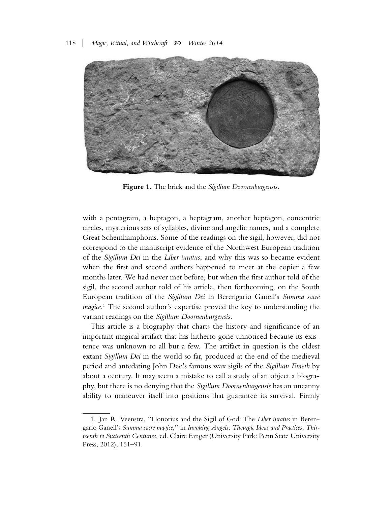

**Figure 1.** The brick and the *Sigillum Doornenburgensis.*

with a pentagram, a heptagon, a heptagram, another heptagon, concentric circles, mysterious sets of syllables, divine and angelic names, and a complete Great Schemhamphoras. Some of the readings on the sigil, however, did not correspond to the manuscript evidence of the Northwest European tradition of the *Sigillum Dei* in the *Liber iuratus*, and why this was so became evident when the first and second authors happened to meet at the copier a few months later. We had never met before, but when the first author told of the sigil, the second author told of his article, then forthcoming, on the South European tradition of the *Sigillum Dei* in Berengario Ganell's *Summa sacre magice*. <sup>1</sup> The second author's expertise proved the key to understanding the variant readings on the *Sigillum Doornenburgensis*.

This article is a biography that charts the history and significance of an important magical artifact that has hitherto gone unnoticed because its existence was unknown to all but a few. The artifact in question is the oldest extant *Sigillum Dei* in the world so far, produced at the end of the medieval period and antedating John Dee's famous wax sigils of the *Sigillum Emeth* by about a century. It may seem a mistake to call a study of an object a biography, but there is no denying that the *Sigillum Doornenburgensis* has an uncanny ability to maneuver itself into positions that guarantee its survival. Firmly

<sup>1.</sup> Jan R. Veenstra, ''Honorius and the Sigil of God: The *Liber iuratus* in Berengario Ganell's *Summa sacre magice*,'' in *Invoking Angels: Theurgic Ideas and Practices, Thirteenth to Sixteenth Centuries*, ed. Claire Fanger (University Park: Penn State University Press, 2012), 151–91.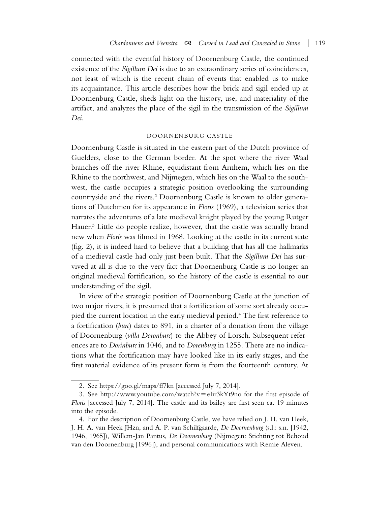connected with the eventful history of Doornenburg Castle, the continued existence of the *Sigillum Dei* is due to an extraordinary series of coincidences, not least of which is the recent chain of events that enabled us to make its acquaintance. This article describes how the brick and sigil ended up at Doornenburg Castle, sheds light on the history, use, and materiality of the artifact, and analyzes the place of the sigil in the transmission of the *Sigillum Dei*.

#### DOORNENBURG CASTLE

Doornenburg Castle is situated in the eastern part of the Dutch province of Guelders, close to the German border. At the spot where the river Waal branches off the river Rhine, equidistant from Arnhem, which lies on the Rhine to the northwest, and Nijmegen, which lies on the Waal to the southwest, the castle occupies a strategic position overlooking the surrounding countryside and the rivers.2 Doornenburg Castle is known to older generations of Dutchmen for its appearance in *Floris* (1969), a television series that narrates the adventures of a late medieval knight played by the young Rutger Hauer.<sup>3</sup> Little do people realize, however, that the castle was actually brand new when *Floris* was filmed in 1968. Looking at the castle in its current state (fig. 2), it is indeed hard to believe that a building that has all the hallmarks of a medieval castle had only just been built. That the *Sigillum Dei* has survived at all is due to the very fact that Doornenburg Castle is no longer an original medieval fortification, so the history of the castle is essential to our understanding of the sigil.

In view of the strategic position of Doornenburg Castle at the junction of two major rivers, it is presumed that a fortification of some sort already occupied the current location in the early medieval period.4 The first reference to a fortification (*burc*) dates to 891, in a charter of a donation from the village of Doornenburg (*villa Doronburc*) to the Abbey of Lorsch. Subsequent references are to *Dorinburc* in 1046, and to *Dorenburg* in 1255. There are no indications what the fortification may have looked like in its early stages, and the first material evidence of its present form is from the fourteenth century. At

<sup>2.</sup> See https://goo.gl/maps/ff7kn [accessed July 7, 2014].

<sup>3.</sup> See http://www.youtube.com/watch?v=eIir3kYt9no for the first episode of *Floris* [accessed July 7, 2014]. The castle and its bailey are first seen ca. 19 minutes into the episode.

<sup>4.</sup> For the description of Doornenburg Castle, we have relied on J. H. van Heek, J. H. A. van Heek JHzn, and A. P. van Schilfgaarde, *De Doornenburg* (s.l.: s.n. [1942, 1946, 1965]), Willem-Jan Pantus, *De Doornenburg* (Nijmegen: Stichting tot Behoud van den Doornenburg [1996]), and personal communications with Remie Aleven.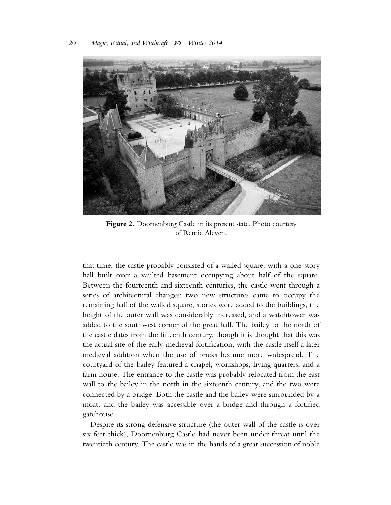

**Figure 2.** Doornenburg Castle in its present state. Photo courtesy of Remie Aleven.

that time, the castle probably consisted of a walled square, with a one-story hall built over a vaulted basement occupying about half of the square. Between the fourteenth and sixteenth centuries, the castle went through a series of architectural changes: two new structures came to occupy the remaining half of the walled square, stories were added to the buildings, the height of the outer wall was considerably increased, and a watchtower was added to the southwest corner of the great hall. The bailey to the north of the castle dates from the fifteenth century, though it is thought that this was the actual site of the early medieval fortification, with the castle itself a later medieval addition when the use of bricks became more widespread. The courtyard of the bailey featured a chapel, workshops, living quarters, and a farm house. The entrance to the castle was probably relocated from the east wall to the bailey in the north in the sixteenth century, and the two were connected by a bridge. Both the castle and the bailey were surrounded by a moat, and the bailey was accessible over a bridge and through a fortified gatehouse.

Despite its strong defensive structure (the outer wall of the castle is over six feet thick), Doornenburg Castle had never been under threat until the twentieth century. The castle was in the hands of a great succession of noble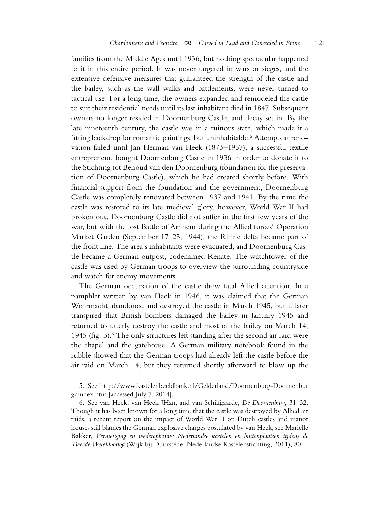families from the Middle Ages until 1936, but nothing spectacular happened to it in this entire period. It was never targeted in wars or sieges, and the extensive defensive measures that guaranteed the strength of the castle and the bailey, such as the wall walks and battlements, were never turned to tactical use. For a long time, the owners expanded and remodeled the castle to suit their residential needs until its last inhabitant died in 1847. Subsequent owners no longer resided in Doornenburg Castle, and decay set in. By the late nineteenth century, the castle was in a ruinous state, which made it a fitting backdrop for romantic paintings, but uninhabitable.5 Attempts at renovation failed until Jan Herman van Heek (1873–1957), a successful textile entrepreneur, bought Doornenburg Castle in 1936 in order to donate it to the Stichting tot Behoud van den Doornenburg (foundation for the preservation of Doornenburg Castle), which he had created shortly before. With financial support from the foundation and the government, Doornenburg Castle was completely renovated between 1937 and 1941. By the time the castle was restored to its late medieval glory, however, World War II had broken out. Doornenburg Castle did not suffer in the first few years of the war, but with the lost Battle of Arnhem during the Allied forces' Operation Market Garden (September 17–25, 1944), the Rhine delta became part of the front line. The area's inhabitants were evacuated, and Doornenburg Castle became a German outpost, codenamed Renate. The watchtower of the castle was used by German troops to overview the surrounding countryside and watch for enemy movements.

The German occupation of the castle drew fatal Allied attention. In a pamphlet written by van Heek in 1946, it was claimed that the German Wehrmacht abandoned and destroyed the castle in March 1945, but it later transpired that British bombers damaged the bailey in January 1945 and returned to utterly destroy the castle and most of the bailey on March 14, 1945 (fig. 3). $6$  The only structures left standing after the second air raid were the chapel and the gatehouse. A German military notebook found in the rubble showed that the German troops had already left the castle before the air raid on March 14, but they returned shortly afterward to blow up the

<sup>5.</sup> See http://www.kastelenbeeldbank.nl/Gelderland/Doornenburg-Doornenbur g/index.htm [accessed July 7, 2014].

<sup>6.</sup> See van Heek, van Heek JHzn, and van Schilfgaarde, *De Doornenburg*, 31–32. Though it has been known for a long time that the castle was destroyed by Allied air raids, a recent report on the impact of World War II on Dutch castles and manor houses still blames the German explosive charges postulated by van Heek; see Mariëlle Bakker, *Vernietiging en wederopbouw: Nederlandse kastelen en buitenplaatsen tijdens de Tweede Wereldoorlog* (Wijk bij Duurstede: Nederlandse Kastelenstichting, 2011), 80.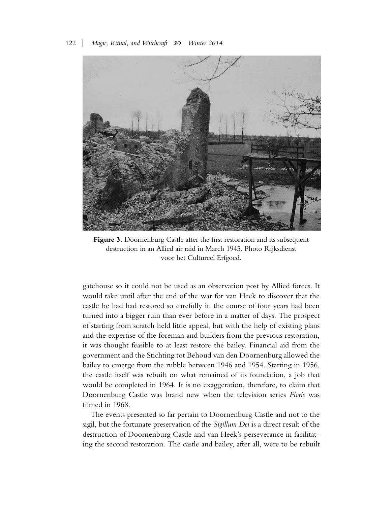

**Figure 3.** Doornenburg Castle after the first restoration and its subsequent destruction in an Allied air raid in March 1945. Photo Rijksdienst voor het Cultureel Erfgoed.

gatehouse so it could not be used as an observation post by Allied forces. It would take until after the end of the war for van Heek to discover that the castle he had had restored so carefully in the course of four years had been turned into a bigger ruin than ever before in a matter of days. The prospect of starting from scratch held little appeal, but with the help of existing plans and the expertise of the foreman and builders from the previous restoration, it was thought feasible to at least restore the bailey. Financial aid from the government and the Stichting tot Behoud van den Doornenburg allowed the bailey to emerge from the rubble between 1946 and 1954. Starting in 1956, the castle itself was rebuilt on what remained of its foundation, a job that would be completed in 1964. It is no exaggeration, therefore, to claim that Doornenburg Castle was brand new when the television series *Floris* was filmed in 1968.

The events presented so far pertain to Doornenburg Castle and not to the sigil, but the fortunate preservation of the *Sigillum Dei* is a direct result of the destruction of Doornenburg Castle and van Heek's perseverance in facilitating the second restoration. The castle and bailey, after all, were to be rebuilt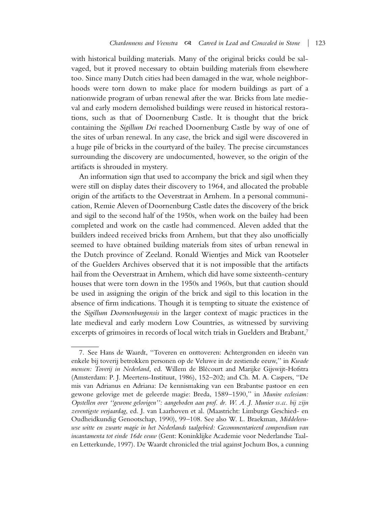with historical building materials. Many of the original bricks could be salvaged, but it proved necessary to obtain building materials from elsewhere too. Since many Dutch cities had been damaged in the war, whole neighborhoods were torn down to make place for modern buildings as part of a nationwide program of urban renewal after the war. Bricks from late medieval and early modern demolished buildings were reused in historical restorations, such as that of Doornenburg Castle. It is thought that the brick containing the *Sigillum Dei* reached Doornenburg Castle by way of one of the sites of urban renewal. In any case, the brick and sigil were discovered in a huge pile of bricks in the courtyard of the bailey. The precise circumstances surrounding the discovery are undocumented, however, so the origin of the artifacts is shrouded in mystery.

An information sign that used to accompany the brick and sigil when they were still on display dates their discovery to 1964, and allocated the probable origin of the artifacts to the Oeverstraat in Arnhem. In a personal communication, Remie Aleven of Doornenburg Castle dates the discovery of the brick and sigil to the second half of the 1950s, when work on the bailey had been completed and work on the castle had commenced. Aleven added that the builders indeed received bricks from Arnhem, but that they also unofficially seemed to have obtained building materials from sites of urban renewal in the Dutch province of Zeeland. Ronald Wientjes and Mick van Rootseler of the Guelders Archives observed that it is not impossible that the artifacts hail from the Oeverstraat in Arnhem, which did have some sixteenth-century houses that were torn down in the 1950s and 1960s, but that caution should be used in assigning the origin of the brick and sigil to this location in the absence of firm indications. Though it is tempting to situate the existence of the *Sigillum Doornenburgensis* in the larger context of magic practices in the late medieval and early modern Low Countries, as witnessed by surviving excerpts of grimoires in records of local witch trials in Guelders and Brabant,<sup>7</sup>

<sup>7.</sup> See Hans de Waardt, "Toveren en onttoveren: Achtergronden en ideeën van enkele bij toverij betrokken personen op de Veluwe in de zestiende eeuw,'' in *Kwade* mensen: Toverij in Nederland, ed. Willem de Blécourt and Marijke Gijswijt-Hofstra (Amsterdam: P. J. Meertens-Instituut, 1986), 152–202; and Ch. M. A. Caspers, ''De mis van Adrianus en Adriana: De kennismaking van een Brabantse pastoor en een gewone gelovige met de geleerde magie: Breda, 1589–1590,'' in *Munire ecclesiam: Opstellen over ''gewone gelovigen'': aangeboden aan prof. dr. W. A. J. Munier ss.cc. bij zijn zeventigste verjaardag*, ed. J. van Laarhoven et al. (Maastricht: Limburgs Geschied- en Oudheidkundig Genootschap, 1990), 99–108. See also W. L. Braekman, *Middeleeuwse witte en zwarte magie in het Nederlands taalgebied: Gecommentarieerd compendium van incantamenta tot einde 16de eeuw* (Gent: Koninklijke Academie voor Nederlandse Taalen Letterkunde, 1997). De Waardt chronicled the trial against Jochum Bos, a cunning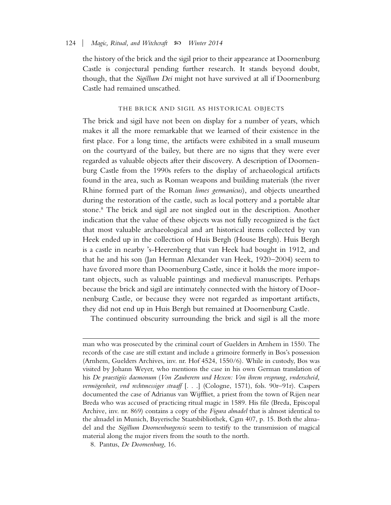the history of the brick and the sigil prior to their appearance at Doornenburg Castle is conjectural pending further research. It stands beyond doubt, though, that the *Sigillum Dei* might not have survived at all if Doornenburg Castle had remained unscathed.

#### THE BRICK AND SIGIL AS HISTORICAL OBJECTS

The brick and sigil have not been on display for a number of years, which makes it all the more remarkable that we learned of their existence in the first place. For a long time, the artifacts were exhibited in a small museum on the courtyard of the bailey, but there are no signs that they were ever regarded as valuable objects after their discovery. A description of Doornenburg Castle from the 1990s refers to the display of archaeological artifacts found in the area, such as Roman weapons and building materials (the river Rhine formed part of the Roman *limes germanicus*), and objects unearthed during the restoration of the castle, such as local pottery and a portable altar stone.8 The brick and sigil are not singled out in the description. Another indication that the value of these objects was not fully recognized is the fact that most valuable archaeological and art historical items collected by van Heek ended up in the collection of Huis Bergh (House Bergh). Huis Bergh is a castle in nearby 's-Heerenberg that van Heek had bought in 1912, and that he and his son (Jan Herman Alexander van Heek, 1920–2004) seem to have favored more than Doornenburg Castle, since it holds the more important objects, such as valuable paintings and medieval manuscripts. Perhaps because the brick and sigil are intimately connected with the history of Doornenburg Castle, or because they were not regarded as important artifacts, they did not end up in Huis Bergh but remained at Doornenburg Castle.

The continued obscurity surrounding the brick and sigil is all the more

8. Pantus, *De Doornenburg*, 16.

man who was prosecuted by the criminal court of Guelders in Arnhem in 1550. The records of the case are still extant and include a grimoire formerly in Bos's possession (Arnhem, Guelders Archives, inv. nr. Hof 4524, 1550/6). While in custody, Bos was visited by Johann Weyer, who mentions the case in his own German translation of his *De praestigiis daemonum* (*Von Zauberern und Hexen: Von ihrem vrsprung, vnderscheid,* vermögenheit, vnd rechtmessiger straaff [. . .] (Cologne, 1571), fols. 90r-91r). Caspers documented the case of Adrianus van Wijffliet, a priest from the town of Rijen near Breda who was accused of practicing ritual magic in 1589. His file (Breda, Episcopal Archive, inv. nr. 869) contains a copy of the *Figura almadel* that is almost identical to the almadel in Munich, Bayerische Staatsbibliothek, Cgm 407, p. 15. Both the almadel and the *Sigillum Doornenburgensis* seem to testify to the transmission of magical material along the major rivers from the south to the north.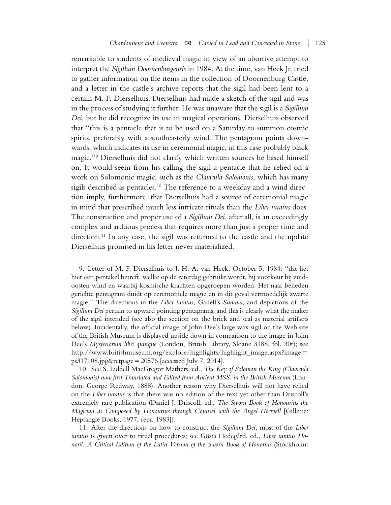remarkable to students of medieval magic in view of an abortive attempt to interpret the *Sigillum Doornenburgensis* in 1984. At the time, van Heek Jr. tried to gather information on the items in the collection of Doornenburg Castle, and a letter in the castle's archive reports that the sigil had been lent to a certain M. F. Dierselhuis. Dierselhuis had made a sketch of the sigil and was in the process of studying it further. He was unaware that the sigil is a *Sigillum Dei*, but he did recognize its use in magical operations. Dierselhuis observed that ''this is a pentacle that is to be used on a Saturday to summon cosmic spirits, preferably with a southeasterly wind. The pentagram points downwards, which indicates its use in ceremonial magic, in this case probably black magic.''9 Dierselhuis did not clarify which written sources he based himself on. It would seem from his calling the sigil a pentacle that he relied on a work on Solomonic magic, such as the *Clavicula Salomonis*, which has many sigils described as pentacles.<sup>10</sup> The reference to a weekday and a wind direction imply, furthermore, that Dierselhuis had a source of ceremonial magic in mind that prescribed much less intricate rituals than the *Liber iuratus* does. The construction and proper use of a *Sigillum Dei*, after all, is an exceedingly complex and arduous process that requires more than just a proper time and direction.<sup>11</sup> In any case, the sigil was returned to the castle and the update Dierselhuis promised in his letter never materialized.

<sup>9.</sup> Letter of M. F. Dierselhuis to J. H. A. van Heek, October 5, 1984: ''dat het hier een pentakel betreft, welke op de zaterdag gebruikt wordt, bij voorkeur bij zuidoosten wind en waarbij kosmische krachten opgeroepen worden. Het naar beneden gerichte pentagram duidt op ceremoniele magie en in dit geval vermoedelijk zwarte magie.'' The directions in the *Liber iuratus*, Ganell's *Summa*, and depictions of the *Sigillum Dei* pertain to upward pointing pentagrams, and this is clearly what the maker of the sigil intended (see also the section on the brick and seal as material artifacts below). Incidentally, the official image of John Dee's large wax sigil on the Web site of the British Museum is displayed upside down in comparison to the image in John Dee's *Mysteriorum libri quinque* (London, British Library, Sloane 3188, fol. 30r); see http://www.britishmuseum.org/explore/highlights/highlight\_image.aspx?image" ps317108.jpg&retpage =  $20576$  [accessed July 7, 2014].

<sup>10.</sup> See S. Liddell MacGregor Mathers, ed., *The Key of Solomon the King (Clavicula Salomonis) now first Translated and Edited from Ancient MSS. in the British Museum* (London: George Redway, 1888). Another reason why Dierselhuis will not have relied on the *Liber iuratus* is that there was no edition of the text yet other than Driscoll's extremely rare publication (Daniel J. Driscoll, ed., *The Sworn Book of Honourius the Magician as Composed by Honourius through Counsel with the Angel Hocroell* [Gillette: Heptangle Books, 1977, repr. 1983]).

<sup>11.</sup> After the directions on how to construct the *Sigillum Dei*, most of the *Liber iuratus* is given over to ritual procedures; see Gösta Hedegård, ed., *Liber iuratus Honorii: A Critical Edition of the Latin Version of the Sworn Book of Honorius* (Stockholm: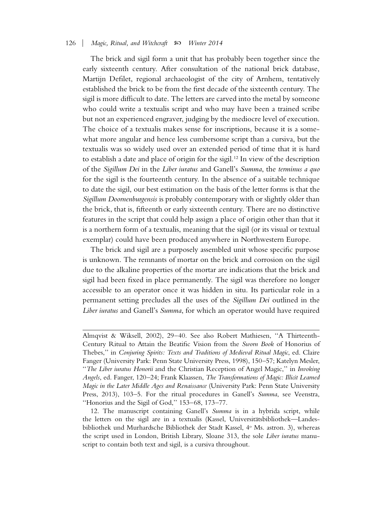The brick and sigil form a unit that has probably been together since the early sixteenth century. After consultation of the national brick database, Martijn Defilet, regional archaeologist of the city of Arnhem, tentatively established the brick to be from the first decade of the sixteenth century. The sigil is more difficult to date. The letters are carved into the metal by someone who could write a textualis script and who may have been a trained scribe but not an experienced engraver, judging by the mediocre level of execution. The choice of a textualis makes sense for inscriptions, because it is a somewhat more angular and hence less cumbersome script than a cursiva, but the textualis was so widely used over an extended period of time that it is hard to establish a date and place of origin for the sigil.12 In view of the description of the *Sigillum Dei* in the *Liber iuratus* and Ganell's *Summa*, the *terminus a quo* for the sigil is the fourteenth century. In the absence of a suitable technique to date the sigil, our best estimation on the basis of the letter forms is that the *Sigillum Doornenburgensis* is probably contemporary with or slightly older than the brick, that is, fifteenth or early sixteenth century. There are no distinctive features in the script that could help assign a place of origin other than that it is a northern form of a textualis, meaning that the sigil (or its visual or textual exemplar) could have been produced anywhere in Northwestern Europe.

The brick and sigil are a purposely assembled unit whose specific purpose is unknown. The remnants of mortar on the brick and corrosion on the sigil due to the alkaline properties of the mortar are indications that the brick and sigil had been fixed in place permanently. The sigil was therefore no longer accessible to an operator once it was hidden in situ. Its particular role in a permanent setting precludes all the uses of the *Sigillum Dei* outlined in the *Liber iuratus* and Ganell's *Summa*, for which an operator would have required

Almqvist & Wiksell, 2002), 29–40. See also Robert Mathiesen, ''A Thirteenth-Century Ritual to Attain the Beatific Vision from the *Sworn Book* of Honorius of Thebes,'' in *Conjuring Spirits: Texts and Traditions of Medieval Ritual Magic*, ed. Claire Fanger (University Park: Penn State University Press, 1998), 150–57; Katelyn Mesler, ''*The Liber iuratus Honorii* and the Christian Reception of Angel Magic,'' in *Invoking Angels*, ed. Fanger, 120–24; Frank Klaassen, *The Transformations of Magic: Illicit Learned Magic in the Later Middle Ages and Renaissance* (University Park: Penn State University Press, 2013), 103–5. For the ritual procedures in Ganell's *Summa*, see Veenstra, ''Honorius and the Sigil of God,'' 153–68, 173–77.

<sup>12.</sup> The manuscript containing Ganell's *Summa* is in a hybrida script, while the letters on the sigil are in a textualis (Kassel, Universitätsbibliothek—Landesbibliothek und Murhardsche Bibliothek der Stadt Kassel, 4° Ms. astron. 3), whereas the script used in London, British Library, Sloane 313, the sole *Liber iuratus* manuscript to contain both text and sigil, is a cursiva throughout.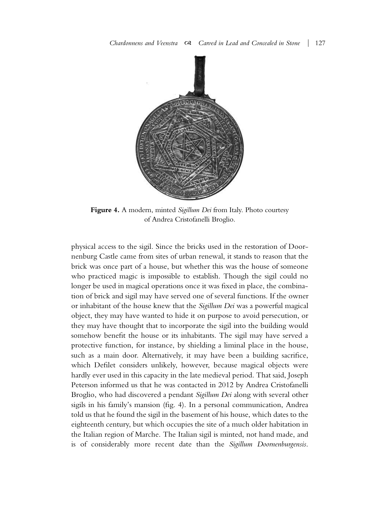

**Figure 4.** A modern, minted *Sigillum Dei* from Italy. Photo courtesy of Andrea Cristofanelli Broglio.

physical access to the sigil. Since the bricks used in the restoration of Doornenburg Castle came from sites of urban renewal, it stands to reason that the brick was once part of a house, but whether this was the house of someone who practiced magic is impossible to establish. Though the sigil could no longer be used in magical operations once it was fixed in place, the combination of brick and sigil may have served one of several functions. If the owner or inhabitant of the house knew that the *Sigillum Dei* was a powerful magical object, they may have wanted to hide it on purpose to avoid persecution, or they may have thought that to incorporate the sigil into the building would somehow benefit the house or its inhabitants. The sigil may have served a protective function, for instance, by shielding a liminal place in the house, such as a main door. Alternatively, it may have been a building sacrifice, which Defilet considers unlikely, however, because magical objects were hardly ever used in this capacity in the late medieval period. That said, Joseph Peterson informed us that he was contacted in 2012 by Andrea Cristofanelli Broglio, who had discovered a pendant *Sigillum Dei* along with several other sigils in his family's mansion (fig. 4). In a personal communication, Andrea told us that he found the sigil in the basement of his house, which dates to the eighteenth century, but which occupies the site of a much older habitation in the Italian region of Marche. The Italian sigil is minted, not hand made, and is of considerably more recent date than the *Sigillum Doornenburgensis*.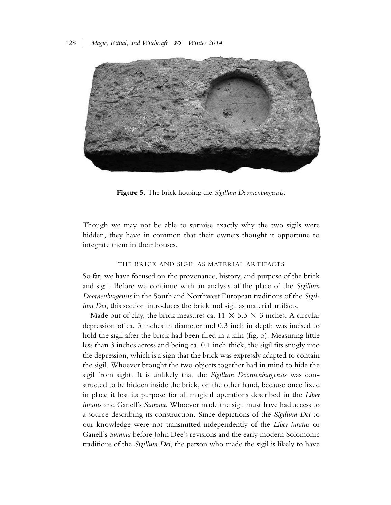

**Figure 5.** The brick housing the *Sigillum Doornenburgensis.*

Though we may not be able to surmise exactly why the two sigils were hidden, they have in common that their owners thought it opportune to integrate them in their houses.

#### THE BRICK AND SIGIL AS MATERIAL ARTIFACTS

So far, we have focused on the provenance, history, and purpose of the brick and sigil. Before we continue with an analysis of the place of the *Sigillum Doornenburgensis* in the South and Northwest European traditions of the *Sigillum Dei*, this section introduces the brick and sigil as material artifacts.

Made out of clay, the brick measures ca.  $11 \times 5.3 \times 3$  inches. A circular depression of ca. 3 inches in diameter and 0.3 inch in depth was incised to hold the sigil after the brick had been fired in a kiln (fig. 5). Measuring little less than 3 inches across and being ca. 0.1 inch thick, the sigil fits snugly into the depression, which is a sign that the brick was expressly adapted to contain the sigil. Whoever brought the two objects together had in mind to hide the sigil from sight. It is unlikely that the *Sigillum Doornenburgensis* was constructed to be hidden inside the brick, on the other hand, because once fixed in place it lost its purpose for all magical operations described in the *Liber iuratus* and Ganell's *Summa*. Whoever made the sigil must have had access to a source describing its construction. Since depictions of the *Sigillum Dei* to our knowledge were not transmitted independently of the *Liber iuratus* or Ganell's *Summa* before John Dee's revisions and the early modern Solomonic traditions of the *Sigillum Dei*, the person who made the sigil is likely to have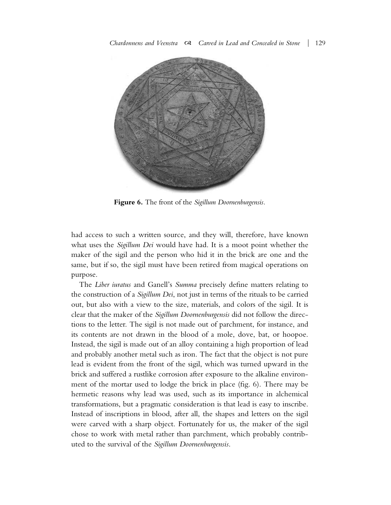

**Figure 6.** The front of the *Sigillum Doornenburgensis.*

had access to such a written source, and they will, therefore, have known what uses the *Sigillum Dei* would have had. It is a moot point whether the maker of the sigil and the person who hid it in the brick are one and the same, but if so, the sigil must have been retired from magical operations on purpose.

The *Liber iuratus* and Ganell's *Summa* precisely define matters relating to the construction of a *Sigillum Dei*, not just in terms of the rituals to be carried out, but also with a view to the size, materials, and colors of the sigil. It is clear that the maker of the *Sigillum Doornenburgensis* did not follow the directions to the letter. The sigil is not made out of parchment, for instance, and its contents are not drawn in the blood of a mole, dove, bat, or hoopoe. Instead, the sigil is made out of an alloy containing a high proportion of lead and probably another metal such as iron. The fact that the object is not pure lead is evident from the front of the sigil, which was turned upward in the brick and suffered a rustlike corrosion after exposure to the alkaline environment of the mortar used to lodge the brick in place (fig. 6). There may be hermetic reasons why lead was used, such as its importance in alchemical transformations, but a pragmatic consideration is that lead is easy to inscribe. Instead of inscriptions in blood, after all, the shapes and letters on the sigil were carved with a sharp object. Fortunately for us, the maker of the sigil chose to work with metal rather than parchment, which probably contributed to the survival of the *Sigillum Doornenburgensis*.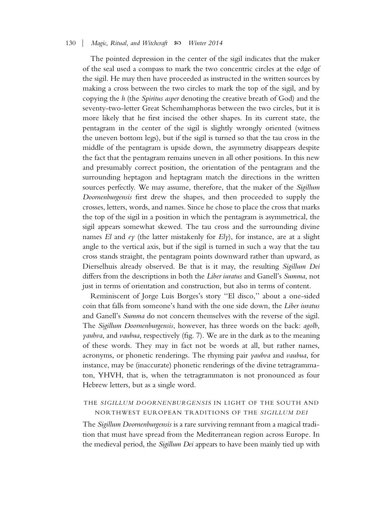The pointed depression in the center of the sigil indicates that the maker of the seal used a compass to mark the two concentric circles at the edge of the sigil. He may then have proceeded as instructed in the written sources by making a cross between the two circles to mark the top of the sigil, and by copying the *h* (the *Spiritus asper* denoting the creative breath of God) and the seventy-two-letter Great Schemhamphoras between the two circles, but it is more likely that he first incised the other shapes. In its current state, the pentagram in the center of the sigil is slightly wrongly oriented (witness the uneven bottom legs), but if the sigil is turned so that the tau cross in the middle of the pentagram is upside down, the asymmetry disappears despite the fact that the pentagram remains uneven in all other positions. In this new and presumably correct position, the orientation of the pentagram and the surrounding heptagon and heptagram match the directions in the written sources perfectly. We may assume, therefore, that the maker of the *Sigillum Doornenburgensis* first drew the shapes, and then proceeded to supply the crosses, letters, words, and names. Since he chose to place the cross that marks the top of the sigil in a position in which the pentagram is asymmetrical, the sigil appears somewhat skewed. The tau cross and the surrounding divine names *El* and *ey* (the latter mistakenly for *Ely*), for instance, are at a slight angle to the vertical axis, but if the sigil is turned in such a way that the tau cross stands straight, the pentagram points downward rather than upward, as Dierselhuis already observed. Be that is it may, the resulting *Sigillum Dei* differs from the descriptions in both the *Liber iuratus* and Ganell's *Summa*, not just in terms of orientation and construction, but also in terms of content.

Reminiscent of Jorge Luis Borges's story ''El disco,'' about a one-sided coin that falls from someone's hand with the one side down, the *Liber iuratus* and Ganell's *Summa* do not concern themselves with the reverse of the sigil. The *Sigillum Doornenburgensis*, however, has three words on the back: *agolb*, *yaubva*, and *vaubua*, respectively (fig. 7). We are in the dark as to the meaning of these words. They may in fact not be words at all, but rather names, acronyms, or phonetic renderings. The rhyming pair *yaubva* and *vaubua*, for instance, may be (inaccurate) phonetic renderings of the divine tetragrammaton, YHVH, that is, when the tetragrammaton is not pronounced as four Hebrew letters, but as a single word.

### THE *SIGILLUM DOORNENBURGENSIS* IN LIGHT OF THE SOUTH AND NORTHWEST EUROPEAN TRADITIONS OF THE *SIGILLUM DEI*

The *Sigillum Doornenburgensis* is a rare surviving remnant from a magical tradition that must have spread from the Mediterranean region across Europe. In the medieval period, the *Sigillum Dei* appears to have been mainly tied up with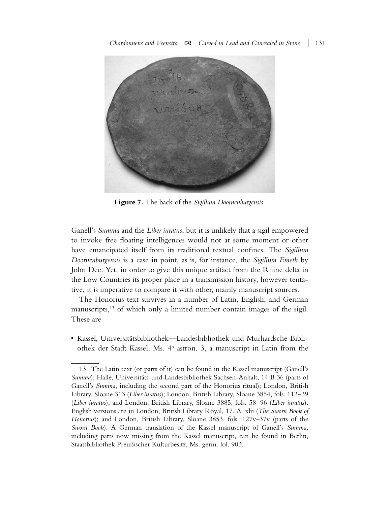

**Figure 7.** The back of the *Sigillum Doornenburgensis.*

Ganell's *Summa* and the *Liber iuratus*, but it is unlikely that a sigil empowered to invoke free floating intelligences would not at some moment or other have emancipated itself from its traditional textual confines. The *Sigillum Doornenburgensis* is a case in point, as is, for instance, the *Sigillum Emeth* by John Dee. Yet, in order to give this unique artifact from the Rhine delta in the Low Countries its proper place in a transmission history, however tentative, it is imperative to compare it with other, mainly manuscript sources.

The Honorius text survives in a number of Latin, English, and German manuscripts,<sup>13</sup> of which only a limited number contain images of the sigil. These are

• Kassel, Universitätsbibliothek—Landesbibliothek und Murhardsche Bibliothek der Stadt Kassel, Ms. 4o astron. 3, a manuscript in Latin from the

<sup>13.</sup> The Latin text (or parts of it) can be found in the Kassel manuscript (Ganell's *Summa*); Halle, Universitäts-und Landesbibliothek Sachsen-Anhalt, 14 B 36 (parts of Ganell's *Summa*, including the second part of the Honorius ritual); London, British Library, Sloane 313 (*Liber iuratus*); London, British Library, Sloane 3854, fols. 112–39 (*Liber iuratus*); and London, British Library, Sloane 3885, fols. 58–96 (*Liber iuratus*). English versions are in London, British Library Royal, 17. A. xlii (*The Sworn Book of Honorius*); and London, British Library, Sloane 3853, fols. 127v–37v (parts of the *Sworn Book*). A German translation of the Kassel manuscript of Ganell's *Summa*, including parts now missing from the Kassel manuscript, can be found in Berlin, Staatsbibliothek Preußischer Kulturbesitz, Ms. germ. fol. 903.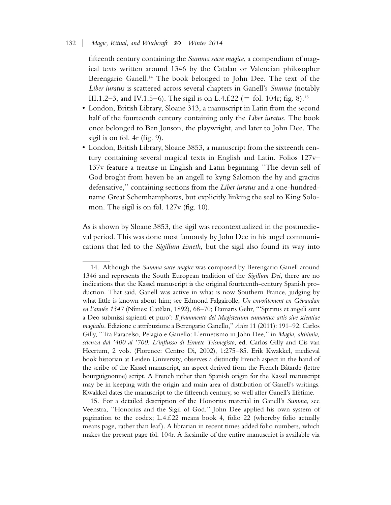fifteenth century containing the *Summa sacre magice*, a compendium of magical texts written around 1346 by the Catalan or Valencian philosopher Berengario Ganell.14 The book belonged to John Dee. The text of the *Liber iuratus* is scattered across several chapters in Ganell's *Summa* (notably III.1.2–3, and IV.1.5–6). The sigil is on L.4.f.22 ( $=$  fol. 104r; fig. 8).<sup>15</sup>

- London, British Library, Sloane 313, a manuscript in Latin from the second half of the fourteenth century containing only the *Liber iuratus*. The book once belonged to Ben Jonson, the playwright, and later to John Dee. The sigil is on fol. 4r (fig. 9).
- London, British Library, Sloane 3853, a manuscript from the sixteenth century containing several magical texts in English and Latin. Folios 127v– 137v feature a treatise in English and Latin beginning ''The devin sell of God broght from heven be an angell to kyng Salomon the hy and gracius defensative,'' containing sections from the *Liber iuratus* and a one-hundredname Great Schemhamphoras, but explicitly linking the seal to King Solomon. The sigil is on fol. 127 $v$  (fig. 10).

As is shown by Sloane 3853, the sigil was recontextualized in the postmedieval period. This was done most famously by John Dee in his angel communications that led to the *Sigillum Emeth*, but the sigil also found its way into

<sup>14.</sup> Although the *Summa sacre magice* was composed by Berengario Ganell around 1346 and represents the South European tradition of the *Sigillum Dei*, there are no indications that the Kassel manuscript is the original fourteenth-century Spanish production. That said, Ganell was active in what is now Southern France, judging by what little is known about him; see Edmond Falgairolle, *Un envoûtement en Gévaudan* en l'année 1347 (Nîmes: Catélan, 1892), 68–70; Damaris Gehr, "'Spiritus et angeli sunt a Deo submissi sapienti et puro': *Il frammento del Magisterium eumantice artis sive scientiae magicalis*. Edizione e attribuzione a Berengario Ganello,'' *Aries* 11 (2011): 191–92; Carlos Gilly, ''Tra Paracelso, Pelagio e Ganello: L'ermetismo in John Dee,'' in *Magia, alchimia, scienza dal '400 al '700: L'influsso di Ermete Trismegisto*, ed. Carlos Gilly and Cis van Heertum, 2 vols. (Florence: Centro Di, 2002), 1:275–85. Erik Kwakkel, medieval book historian at Leiden University, observes a distinctly French aspect in the hand of the scribe of the Kassel manuscript, an aspect derived from the French Bâtarde (lettre bourguignonne) script. A French rather than Spanish origin for the Kassel manuscript may be in keeping with the origin and main area of distribution of Ganell's writings. Kwakkel dates the manuscript to the fifteenth century, so well after Ganell's lifetime.

<sup>15.</sup> For a detailed description of the Honorius material in Ganell's *Summa*, see Veenstra, ''Honorius and the Sigil of God.'' John Dee applied his own system of pagination to the codex; L.4.f.22 means book 4, folio 22 (whereby folio actually means page, rather than leaf). A librarian in recent times added folio numbers, which makes the present page fol. 104r. A facsimile of the entire manuscript is available via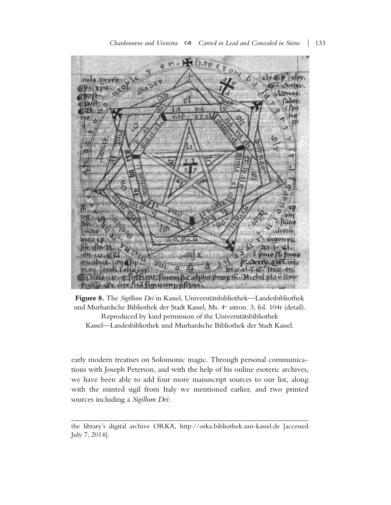

Figure 8. The *Sigillum Dei* in Kassel, Universitätsbibliothek—Landesbibliothek und Murhardsche Bibliothek der Stadt Kassel, Ms. 4° astron. 3, fol. 104r (detail). Reproduced by kind permission of the Universitätsbibliothek Kassel—Landesbibliothek und Murhardsche Bibliothek der Stadt Kassel.

early modern treatises on Solomonic magic. Through personal communications with Joseph Peterson, and with the help of his online esoteric archives, we have been able to add four more manuscript sources to our list, along with the minted sigil from Italy we mentioned earlier, and two printed sources including a *Sigillum Dei*:

the library's digital archive ORKA, http://orka.bibliothek.uni-kassel.de [accessed July 7, 2014].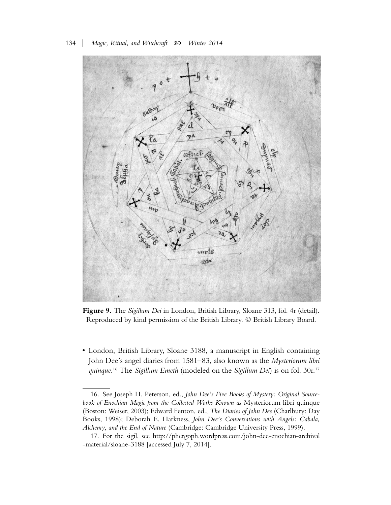

**Figure 9.** The *Sigillum Dei* in London, British Library, Sloane 313, fol. 4r (detail). Reproduced by kind permission of the British Library. © British Library Board.

• London, British Library, Sloane 3188, a manuscript in English containing John Dee's angel diaries from 1581–83, also known as the *Mysteriorum libri quinque*. <sup>16</sup> The *Sigillum Emeth* (modeled on the *Sigillum Dei*) is on fol. 30r.17

<sup>16.</sup> See Joseph H. Peterson, ed., *John Dee's Five Books of Mystery: Original Sourcebook of Enochian Magic from the Collected Works Known as* Mysteriorum libri quinque (Boston: Weiser, 2003); Edward Fenton, ed., *The Diaries of John Dee* (Charlbury: Day Books, 1998); Deborah E. Harkness, *John Dee's Conversations with Angels: Cabala, Alchemy, and the End of Nature* (Cambridge: Cambridge University Press, 1999).

<sup>17.</sup> For the sigil, see http://phergoph.wordpress.com/john-dee-enochian-archival -material/sloane-3188 [accessed July 7, 2014].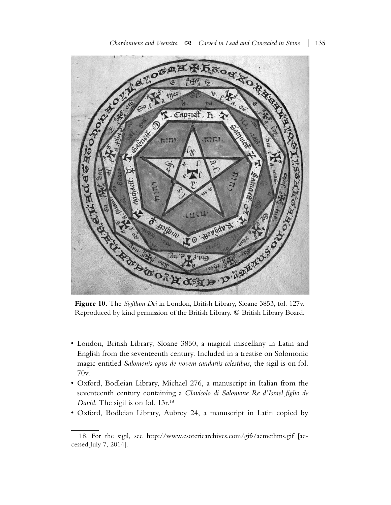

**Figure 10.** The *Sigillum Dei* in London, British Library, Sloane 3853, fol. 127v. Reproduced by kind permission of the British Library. © British Library Board.

- London, British Library, Sloane 3850, a magical miscellany in Latin and English from the seventeenth century. Included in a treatise on Solomonic magic entitled *Salomonis opus de novem candariis celestibus*, the sigil is on fol. 70v.
- Oxford, Bodleian Library, Michael 276, a manuscript in Italian from the seventeenth century containing a *Clavicolo di Salomone Re d'Israel figlio de David*. The sigil is on fol. 13r.<sup>18</sup>
- Oxford, Bodleian Library, Aubrey 24, a manuscript in Latin copied by

<sup>18.</sup> For the sigil, see http://www.esotericarchives.com/gifs/aemethms.gif [accessed July 7, 2014].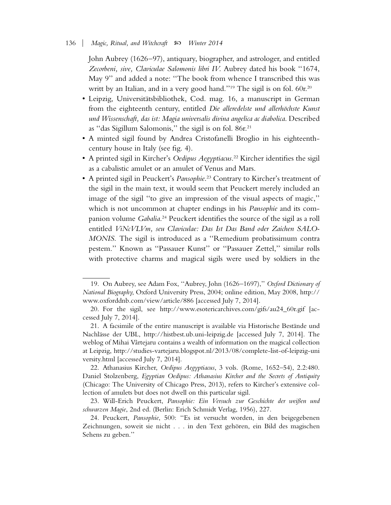John Aubrey (1626–97), antiquary, biographer, and astrologer, and entitled *Zecorbeni, sive, Claviculae Salomonis libri IV*. Aubrey dated his book ''1674, May 9'' and added a note: ''The book from whence I transcribed this was writt by an Italian, and in a very good hand."<sup>19</sup> The sigil is on fol. 60r.<sup>20</sup>

- Leipzig, Universitätsbibliothek, Cod. mag. 16, a manuscript in German from the eighteenth century, entitled *Die alleredelste und allerhöchste Kunst und Wissenschaft, das ist: Magia universalis divina angelica ac diabolica*. Described as "das Sigillum Salomonis," the sigil is on fol. 86r.<sup>21</sup>
- A minted sigil found by Andrea Cristofanelli Broglio in his eighteenthcentury house in Italy (see fig. 4).
- A printed sigil in Kircher's *Oedipus Aegyptiacus*. <sup>22</sup> Kircher identifies the sigil as a cabalistic amulet or an amulet of Venus and Mars.
- A printed sigil in Peuckert's *Pansophie*. <sup>23</sup> Contrary to Kircher's treatment of the sigil in the main text, it would seem that Peuckert merely included an image of the sigil ''to give an impression of the visual aspects of magic,'' which is not uncommon at chapter endings in his *Pansophie* and its companion volume *Gabalia*. <sup>24</sup> Peuckert identifies the source of the sigil as a roll entitled *ViNcVLVm, seu Claviculae: Das Ist Das Band oder Zaichen SALO-MONIS*. The sigil is introduced as a ''Remedium probatissimum contra pestem.'' Known as ''Passauer Kunst'' or ''Passauer Zettel,'' similar rolls with protective charms and magical sigils were used by soldiers in the

<sup>19.</sup> On Aubrey, see Adam Fox, ''Aubrey, John (1626–1697),'' *Oxford Dictionary of National Biography*, Oxford University Press, 2004; online edition, May 2008, http:// www.oxforddnb.com/view/article/886 [accessed July 7, 2014].

<sup>20.</sup> For the sigil, see http://www.esotericarchives.com/gifs/au24\_60r.gif [accessed July 7, 2014].

<sup>21.</sup> A facsimile of the entire manuscript is available via Historische Bestände und Nachla¨sse der UBL, http://histbest.ub.uni-leipzig.de [accessed July 7, 2014]. The weblog of Mihai Vârtejaru contains a wealth of information on the magical collection at Leipzig, http://studies-vartejaru.blogspot.nl/2013/08/complete-list-of-leipzig-uni versity.html [accessed July 7, 2014].

<sup>22.</sup> Athanasius Kircher, *Oedipus Aegyptiacus*, 3 vols. (Rome, 1652–54), 2.2:480. Daniel Stolzenberg, *Egyptian Oedipus: Athanasius Kircher and the Secrets of Antiquity* (Chicago: The University of Chicago Press, 2013), refers to Kircher's extensive collection of amulets but does not dwell on this particular sigil.

<sup>23.</sup> Will-Erich Peuckert, *Pansophie: Ein Versuch zur Geschichte der weißen und schwarzen Magie*, 2nd ed. (Berlin: Erich Schmidt Verlag, 1956), 227.

<sup>24.</sup> Peuckert, *Pansophie*, 500: ''Es ist versucht worden, in den beigegebenen Zeichnungen, soweit sie nicht . . . in den Text gehören, ein Bild des magischen Sehens zu geben.''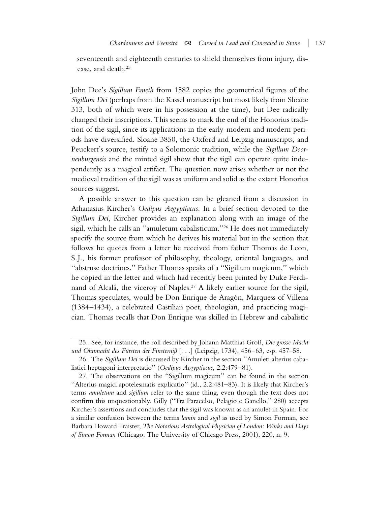seventeenth and eighteenth centuries to shield themselves from injury, disease, and death.25

John Dee's *Sigillum Emeth* from 1582 copies the geometrical figures of the *Sigillum Dei* (perhaps from the Kassel manuscript but most likely from Sloane 313, both of which were in his possession at the time), but Dee radically changed their inscriptions. This seems to mark the end of the Honorius tradition of the sigil, since its applications in the early-modern and modern periods have diversified. Sloane 3850, the Oxford and Leipzig manuscripts, and Peuckert's source, testify to a Solomonic tradition, while the *Sigillum Doornenburgensis* and the minted sigil show that the sigil can operate quite independently as a magical artifact. The question now arises whether or not the medieval tradition of the sigil was as uniform and solid as the extant Honorius sources suggest.

A possible answer to this question can be gleaned from a discussion in Athanasius Kircher's *Oedipus Aegyptiacus*. In a brief section devoted to the *Sigillum Dei*, Kircher provides an explanation along with an image of the sigil, which he calls an ''amuletum cabalisticum.''26 He does not immediately specify the source from which he derives his material but in the section that follows he quotes from a letter he received from father Thomas de Leon, S. J., his former professor of philosophy, theology, oriental languages, and ''abstruse doctrines.'' Father Thomas speaks of a ''Sigillum magicum,'' which he copied in the letter and which had recently been printed by Duke Ferdinand of Alcalá, the viceroy of Naples.<sup>27</sup> A likely earlier source for the sigil, Thomas speculates, would be Don Enrique de Aragón, Marquess of Villena (1384–1434), a celebrated Castilian poet, theologian, and practicing magician. Thomas recalls that Don Enrique was skilled in Hebrew and cabalistic

<sup>25.</sup> See, for instance, the roll described by Johann Matthias Groß, *Die grosse Macht und Ohnmacht des Fürsten der Finsterniß* [. . .] (Leipzig, 1734), 456–63, esp. 457–58.

<sup>26.</sup> The *Sigillum Dei* is discussed by Kircher in the section ''Amuleti alterius cabalistici heptagoni interpretatio'' (*Oedipus Aegyptiacus*, 2.2:479–81).

<sup>27.</sup> The observations on the ''Sigillum magicum'' can be found in the section ''Alterius magici apotelesmatis explicatio'' (id., 2.2:481–83). It is likely that Kircher's terms *amuletum* and *sigillum* refer to the same thing, even though the text does not confirm this unquestionably. Gilly (''Tra Paracelso, Pelagio e Ganello,'' 280) accepts Kircher's assertions and concludes that the sigil was known as an amulet in Spain. For a similar confusion between the terms *lamin* and *sigil* as used by Simon Forman, see Barbara Howard Traister, *The Notorious Astrological Physician of London: Works and Days of Simon Forman* (Chicago: The University of Chicago Press, 2001), 220, n. 9.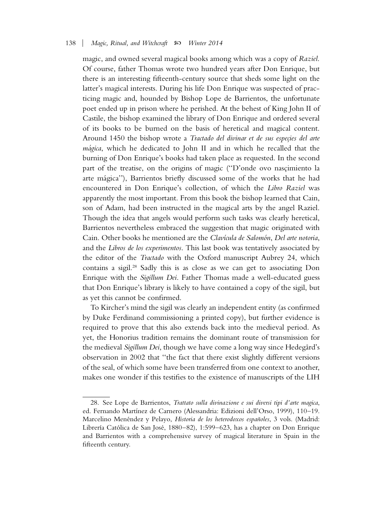magic, and owned several magical books among which was a copy of *Raziel*. Of course, father Thomas wrote two hundred years after Don Enrique, but there is an interesting fifteenth-century source that sheds some light on the latter's magical interests. During his life Don Enrique was suspected of practicing magic and, hounded by Bishop Lope de Barrientos, the unfortunate poet ended up in prison where he perished. At the behest of King John II of Castile, the bishop examined the library of Don Enrique and ordered several of its books to be burned on the basis of heretical and magical content. Around 1450 the bishop wrote a *Tractado del divinar et de sus especies del arte mágica*, which he dedicated to John II and in which he recalled that the burning of Don Enrique's books had taken place as requested. In the second part of the treatise, on the origins of magic ("D'onde ovo nascimiento la arte mágica''), Barrientos briefly discussed some of the works that he had encountered in Don Enrique's collection, of which the *Libro Raziel* was apparently the most important. From this book the bishop learned that Cain, son of Adam, had been instructed in the magical arts by the angel Raziel. Though the idea that angels would perform such tasks was clearly heretical, Barrientos nevertheless embraced the suggestion that magic originated with Cain. Other books he mentioned are the *Clavı´cula de Salomo´n*, *Del arte notoria*, and the *Libros de los experimentos*. This last book was tentatively associated by the editor of the *Tractado* with the Oxford manuscript Aubrey 24, which contains a sigil.28 Sadly this is as close as we can get to associating Don Enrique with the *Sigillum Dei*. Father Thomas made a well-educated guess that Don Enrique's library is likely to have contained a copy of the sigil, but as yet this cannot be confirmed.

To Kircher's mind the sigil was clearly an independent entity (as confirmed by Duke Ferdinand commissioning a printed copy), but further evidence is required to prove that this also extends back into the medieval period. As yet, the Honorius tradition remains the dominant route of transmission for the medieval *Sigillum Dei*, though we have come a long way since Hedegard's observation in 2002 that ''the fact that there exist slightly different versions of the seal, of which some have been transferred from one context to another, makes one wonder if this testifies to the existence of manuscripts of the LIH

<sup>28.</sup> See Lope de Barrientos, *Trattato sulla divinazione e sui diversi tipi d'arte magica*, ed. Fernando Martínez de Carnero (Alessandria: Edizioni dell'Orso, 1999), 110-19. Marcelino Menéndez y Pelayo, *Historia de los heterodoxos españoles*, 3 vols. (Madrid: Librería Católica de San José, 1880–82), 1:599–623, has a chapter on Don Enrique and Barrientos with a comprehensive survey of magical literature in Spain in the fifteenth century.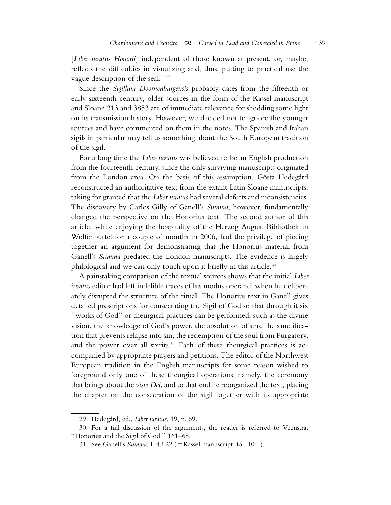[*Liber iuratus Honorii*] independent of those known at present, or, maybe, reflects the difficulties in visualizing and, thus, putting to practical use the vague description of the seal.''29

Since the *Sigillum Doornenburgensis* probably dates from the fifteenth or early sixteenth century, older sources in the form of the Kassel manuscript and Sloane 313 and 3853 are of immediate relevance for shedding some light on its transmission history. However, we decided not to ignore the younger sources and have commented on them in the notes. The Spanish and Italian sigils in particular may tell us something about the South European tradition of the sigil.

For a long time the *Liber iuratus* was believed to be an English production from the fourteenth century, since the only surviving manuscripts originated from the London area. On the basis of this assumption, Gösta Hedegård reconstructed an authoritative text from the extant Latin Sloane manuscripts, taking for granted that the *Liber iuratus* had several defects and inconsistencies. The discovery by Carlos Gilly of Ganell's *Summa*, however, fundamentally changed the perspective on the Honorius text. The second author of this article, while enjoying the hospitality of the Herzog August Bibliothek in Wolfenbüttel for a couple of months in 2006, had the privilege of piecing together an argument for demonstrating that the Honorius material from Ganell's *Summa* predated the London manuscripts. The evidence is largely philological and we can only touch upon it briefly in this article.<sup>30</sup>

A painstaking comparison of the textual sources shows that the initial *Liber iuratus* editor had left indelible traces of his modus operandi when he deliberately disrupted the structure of the ritual. The Honorius text in Ganell gives detailed prescriptions for consecrating the Sigil of God so that through it six ''works of God'' or theurgical practices can be performed, such as the divine vision, the knowledge of God's power, the absolution of sins, the sanctification that prevents relapse into sin, the redemption of the soul from Purgatory, and the power over all spirits. $31$  Each of these theurgical practices is accompanied by appropriate prayers and petitions. The editor of the Northwest European tradition in the English manuscripts for some reason wished to foreground only one of these theurgical operations, namely, the ceremony that brings about the *visio Dei*, and to that end he reorganized the text, placing the chapter on the consecration of the sigil together with its appropriate

<sup>29.</sup> Hedegård, ed., *Liber iuratus*, 19, n. 69.

<sup>30.</sup> For a full discussion of the arguments, the reader is referred to Veenstra, ''Honorius and the Sigil of God,'' 161–68.

<sup>31.</sup> See Ganell's *Summa*, L.4.f.22 (= Kassel manuscript, fol. 104r).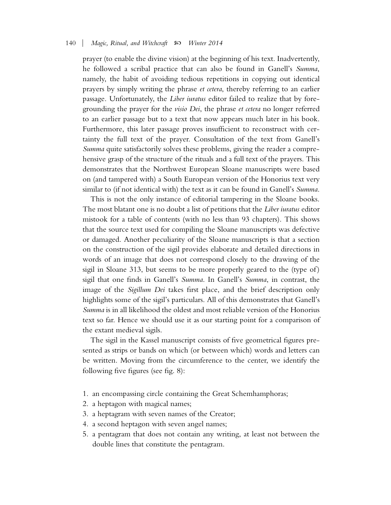prayer (to enable the divine vision) at the beginning of his text. Inadvertently, he followed a scribal practice that can also be found in Ganell's *Summa*, namely, the habit of avoiding tedious repetitions in copying out identical prayers by simply writing the phrase *et cetera*, thereby referring to an earlier passage. Unfortunately, the *Liber iuratus* editor failed to realize that by foregrounding the prayer for the *visio Dei*, the phrase *et cetera* no longer referred to an earlier passage but to a text that now appears much later in his book. Furthermore, this later passage proves insufficient to reconstruct with certainty the full text of the prayer. Consultation of the text from Ganell's *Summa* quite satisfactorily solves these problems, giving the reader a comprehensive grasp of the structure of the rituals and a full text of the prayers. This demonstrates that the Northwest European Sloane manuscripts were based on (and tampered with) a South European version of the Honorius text very similar to (if not identical with) the text as it can be found in Ganell's *Summa*.

This is not the only instance of editorial tampering in the Sloane books. The most blatant one is no doubt a list of petitions that the *Liber iuratus* editor mistook for a table of contents (with no less than 93 chapters). This shows that the source text used for compiling the Sloane manuscripts was defective or damaged. Another peculiarity of the Sloane manuscripts is that a section on the construction of the sigil provides elaborate and detailed directions in words of an image that does not correspond closely to the drawing of the sigil in Sloane 313, but seems to be more properly geared to the (type of) sigil that one finds in Ganell's *Summa*. In Ganell's *Summa*, in contrast, the image of the *Sigillum Dei* takes first place, and the brief description only highlights some of the sigil's particulars. All of this demonstrates that Ganell's *Summa* is in all likelihood the oldest and most reliable version of the Honorius text so far. Hence we should use it as our starting point for a comparison of the extant medieval sigils.

The sigil in the Kassel manuscript consists of five geometrical figures presented as strips or bands on which (or between which) words and letters can be written. Moving from the circumference to the center, we identify the following five figures (see fig. 8):

- 1. an encompassing circle containing the Great Schemhamphoras;
- 2. a heptagon with magical names;
- 3. a heptagram with seven names of the Creator;
- 4. a second heptagon with seven angel names;
- 5. a pentagram that does not contain any writing, at least not between the double lines that constitute the pentagram.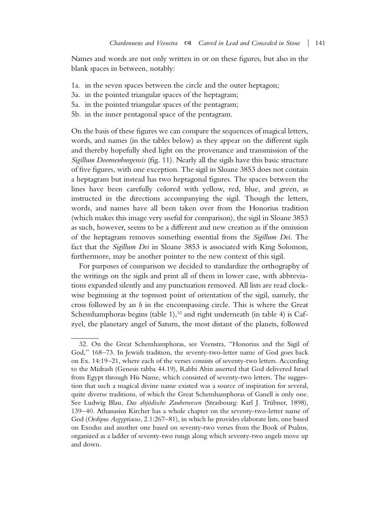Names and words are not only written in or on these figures, but also in the blank spaces in between, notably:

- 1a. in the seven spaces between the circle and the outer heptagon;
- 3a. in the pointed triangular spaces of the heptagram;
- 5a. in the pointed triangular spaces of the pentagram;
- 5b. in the inner pentagonal space of the pentagram.

On the basis of these figures we can compare the sequences of magical letters, words, and names (in the tables below) as they appear on the different sigils and thereby hopefully shed light on the provenance and transmission of the *Sigillum Doornenburgensis* (fig. 11). Nearly all the sigils have this basic structure of five figures, with one exception. The sigil in Sloane 3853 does not contain a heptagram but instead has two heptagonal figures. The spaces between the lines have been carefully colored with yellow, red, blue, and green, as instructed in the directions accompanying the sigil. Though the letters, words, and names have all been taken over from the Honorius tradition (which makes this image very useful for comparison), the sigil in Sloane 3853 as such, however, seems to be a different and new creation as if the omission of the heptagram removes something essential from the *Sigillum Dei*. The fact that the *Sigillum Dei* in Sloane 3853 is associated with King Solomon, furthermore, may be another pointer to the new context of this sigil.

For purposes of comparison we decided to standardize the orthography of the writings on the sigils and print all of them in lower case, with abbreviations expanded silently and any punctuation removed. All lists are read clockwise beginning at the topmost point of orientation of the sigil, namely, the cross followed by an *h* in the encompassing circle. This is where the Great Schemhamphoras begins (table 1), $32$  and right underneath (in table 4) is Cafzyel, the planetary angel of Saturn, the most distant of the planets, followed

<sup>32.</sup> On the Great Schemhamphoras, see Veenstra, ''Honorius and the Sigil of God,'' 168–73. In Jewish tradition, the seventy-two-letter name of God goes back on Ex. 14:19–21, where each of the verses consists of seventy-two letters. According to the Midrash (Genesis rabba 44.19), Rabbi Abin asserted that God delivered Israel from Egypt through His Name, which consisted of seventy-two letters. The suggestion that such a magical divine name existed was a source of inspiration for several, quite diverse traditions, of which the Great Schemhamphoras of Ganell is only one. See Ludwig Blau, *Das altjüdische Zauberwesen* (Strasbourg: Karl J. Trübner, 1898), 139–40. Athanasius Kircher has a whole chapter on the seventy-two-letter name of God (*Oedipus Aegyptiacus*, 2.1:267–81), in which he provides elaborate lists, one based on Exodus and another one based on seventy-two verses from the Book of Psalms, organized as a ladder of seventy-two rungs along which seventy-two angels move up and down.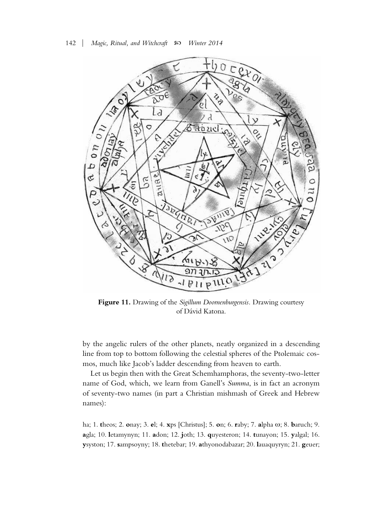

**Figure 11.** Drawing of the *Sigillum Doornenburgensis.* Drawing courtesy of Dávid Katona.

by the angelic rulers of the other planets, neatly organized in a descending line from top to bottom following the celestial spheres of the Ptolemaic cosmos, much like Jacob's ladder descending from heaven to earth.

Let us begin then with the Great Schemhamphoras, the seventy-two-letter name of God, which, we learn from Ganell's *Summa*, is in fact an acronym of seventy-two names (in part a Christian mishmash of Greek and Hebrew names):

ha; 1. **t**heos; 2. **o**nay; 3. **e**l; 4. **x**ps [Christus]; 5. **o**n; 6. **r**aby; 7. **a**lpha ω; 8. **b**aruch; 9. **a**gla; 10. **l**etamynyn; 11. **a**don; 12. **j**oth; 13. **q**uyesteron; 14. **t**unayon; 15. **y**algal; 16. **y**syston; 17. **s**ampsoyny; 18. **t**hetebar; 19. **a**thyonodabazar; 20. **l**auaquyryn; 21. **g**euer;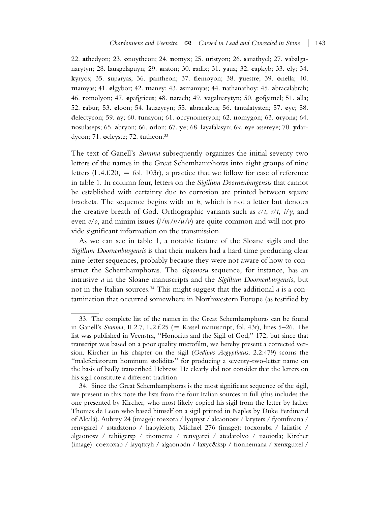22. **a**thedyon; 23. **o**noytheon; 24. **n**omyx; 25. **o**ristyon; 26. **s**anathyel; 27. **v**abalganarytyn; 28. **l**auagelaguyn; 29. **a**raton; 30. **r**adix; 31. **y**aua; 32. **c**apkyb; 33. **e**ly; 34. **k**yryos; 35. **s**uparyas; 36. **p**antheon; 37. **f**lemoyon; 38. **y**uestre; 39. **o**nella; 40. **m**amyas; 41. **e**lgybor; 42. **m**aney; 43. **a**smamyas; 44. **n**athanathoy; 45. **a**bracalabrah; 46. **r**omolyon; 47. **e**pafgricus; 48. **n**arach; 49. **v**agalnarytyn; 50. **g**ofgamel; 51. **a**lla; 52. **r**abur; 53. **e**loon; 54. **l**auazyryn; 55. **a**bracaleus; 56. **t**antalatysten; 57. **e**ye; 58. **d**electycon; 59. **a**y; 60. **t**unayon; 61. **o**ccynomeryon; 62. **n**omygon; 63. **o**ryona; 64. **n**osulaseps; 65. **a**bryon; 66. **o**rlon; 67. **y**e; 68. **l**ayafalasyn; 69. **e**ye assereye; 70. **y**dardycon; 71. **o**cleyste; 72. **t**utheon.33

The text of Ganell's *Summa* subsequently organizes the initial seventy-two letters of the names in the Great Schemhamphoras into eight groups of nine letters (L.4.f.20,  $=$  fol. 103r), a practice that we follow for ease of reference in table 1. In column four, letters on the *Sigillum Doornenburgensis* that cannot be established with certainty due to corrosion are printed between square brackets. The sequence begins with an *h*, which is not a letter but denotes the creative breath of God. Orthographic variants such as *c*/*t*, *r*/*t*, *i*/*y*, and even *e*/*o*, and minim issues (*i/m/n/u/v*) are quite common and will not provide significant information on the transmission.

As we can see in table 1, a notable feature of the Sloane sigils and the *Sigillum Doornenburgensis* is that their makers had a hard time producing clear nine-letter sequences, probably because they were not aware of how to construct the Schemhamphoras. The *algaonosu* sequence, for instance, has an intrusive *a* in the Sloane manuscripts and the *Sigillum Doornenburgensis*, but not in the Italian sources.<sup>34</sup> This might suggest that the additional *a* is a contamination that occurred somewhere in Northwestern Europe (as testified by

<sup>33.</sup> The complete list of the names in the Great Schemhamphoras can be found in Ganell's *Summa*, II.2.7, L.2.f.25 (= Kassel manuscript, fol. 43r), lines 5-26. The list was published in Veenstra, ''Honorius and the Sigil of God,'' 172, but since that transcript was based on a poor quality microfilm, we hereby present a corrected version. Kircher in his chapter on the sigil (*Oedipus Aegyptiacus*, 2.2:479) scorns the ''maleferiatorum hominum stoliditas'' for producing a seventy-two-letter name on the basis of badly transcribed Hebrew. He clearly did not consider that the letters on his sigil constitute a different tradition.

<sup>34.</sup> Since the Great Schemhamphoras is the most significant sequence of the sigil, we present in this note the lists from the four Italian sources in full (this includes the one presented by Kircher, who most likely copied his sigil from the letter by father Thomas de Leon who based himself on a sigil printed in Naples by Duke Ferdinand of Alcalá). Aubrey 24 (image): toexora / lyqtiyst / alcaonosv / laryters / fyomfmana / renvgarel / astadatono / haoyleiots; Michael 276 (image): tocxoraba / laiiatisc / algaonosv / tahiigersp / tiiomema / renvgarei / atedatolvo / naoiotla; Kircher (image): coexoxab / layqtxyh / algaonodn / laxyc&ksp / fionnemana / xenxguxel /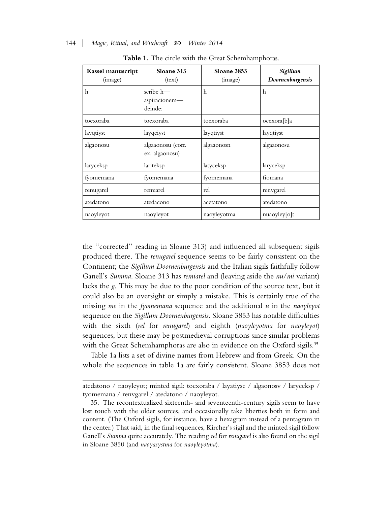| Kassel manuscript<br>(image) | Sloane 313<br>(text)                     | Sloane 3853<br>(image) | Sigillum<br>Doornenburgensis |
|------------------------------|------------------------------------------|------------------------|------------------------------|
| h                            | scribe $h$ —<br>aspiracionem-<br>deinde: | h                      | h                            |
| toexoraba                    | toexoraba                                | toexoraba              | ocexora[b]a                  |
| layqtiyst                    | layqciyst                                | layqtiyst              | layqtiyst                    |
| algaonosu                    | algaaonosu (corr.<br>ex. algaonosu)      | algaaonosn             | algaaonosu                   |
| laryceksp                    | lariteksp                                | latyceksp              | laryceksp                    |
| fyomemana                    | fyomemana                                | fyomemana              | fiomana                      |
| renugarel                    | remiarel                                 | rel                    | renvgarel                    |
| atedatono                    | atedacono                                | acetatono              | atedatono                    |
| naoyleyot                    | naoyleyot                                | naoyleyotma            | nuaoyley[o]t                 |

**Table 1.** The circle with the Great Schemhamphoras.

the ''corrected'' reading in Sloane 313) and influenced all subsequent sigils produced there. The *renugarel* sequence seems to be fairly consistent on the Continent; the *Sigillum Doornenburgensis* and the Italian sigils faithfully follow Ganell's *Summa*. Sloane 313 has *remiarel* and (leaving aside the *nu*/*mi* variant) lacks the *g*. This may be due to the poor condition of the source text, but it could also be an oversight or simply a mistake. This is certainly true of the missing *me* in the *fyomemana* sequence and the additional *u* in the *naoyleyot* sequence on the *Sigillum Doornenburgensis*. Sloane 3853 has notable difficulties with the sixth (*rel* for *renugarel*) and eighth (*naoyleyotma* for *naoyleyot*) sequences, but these may be postmedieval corruptions since similar problems with the Great Schemhamphoras are also in evidence on the Oxford sigils.<sup>35</sup>

Table 1a lists a set of divine names from Hebrew and from Greek. On the whole the sequences in table 1a are fairly consistent. Sloane 3853 does not

atedatono / naoyleyot; minted sigil: tocxoraba / layatiysc / algaonosv / laryceksp / tyomemana / renvgarel / atedatono / naoyleyot.

<sup>35.</sup> The recontextualized sixteenth- and seventeenth-century sigils seem to have lost touch with the older sources, and occasionally take liberties both in form and content. (The Oxford sigils, for instance, have a hexagram instead of a pentagram in the center.) That said, in the final sequences, Kircher's sigil and the minted sigil follow Ganell's *Summa* quite accurately. The reading *rel* for *renugarel* is also found on the sigil in Sloane 3850 (and *naoyasystma* for *naoyleyotma*).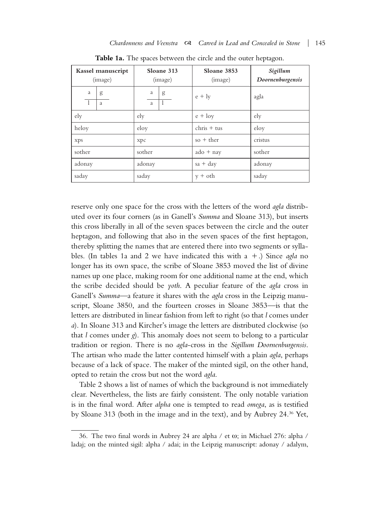|         | Kassel manuscript<br>(image) | Sloane 313<br>(image) |   | Sloane 3853<br>(image)    | Sigillum<br>Doornenburgensis |
|---------|------------------------------|-----------------------|---|---------------------------|------------------------------|
| a<br>-1 | g<br>a                       | a<br>a                | g | $e + ly$                  | agla                         |
| ely     |                              | ely                   |   | $e + \log$                | ely                          |
| heloy   |                              | eloy                  |   | $chris + tus$             | eloy                         |
| xps     |                              | xpc                   |   | $so + ther$               | cristus                      |
| sother  |                              | sother                |   | $\text{ado} + \text{nay}$ | sother                       |
| adonay  |                              | adonay                |   | $sa + day$                | adonay                       |
| saday   |                              | saday                 |   | $v + oth$                 | saday                        |

**Table 1a.** The spaces between the circle and the outer heptagon.

reserve only one space for the cross with the letters of the word *agla* distributed over its four corners (as in Ganell's *Summa* and Sloane 313), but inserts this cross liberally in all of the seven spaces between the circle and the outer heptagon, and following that also in the seven spaces of the first heptagon, thereby splitting the names that are entered there into two segments or syllables. (In tables 1a and 2 we have indicated this with  $a +$ .) Since *agla* no longer has its own space, the scribe of Sloane 3853 moved the list of divine names up one place, making room for one additional name at the end, which the scribe decided should be *yoth*. A peculiar feature of the *agla* cross in Ganell's *Summa*—a feature it shares with the *agla* cross in the Leipzig manuscript, Sloane 3850, and the fourteen crosses in Sloane 3853—is that the letters are distributed in linear fashion from left to right (so that *l* comes under *a*). In Sloane 313 and Kircher's image the letters are distributed clockwise (so that *l* comes under *g*). This anomaly does not seem to belong to a particular tradition or region. There is no *agla*-cross in the *Sigillum Doornenburgensis*. The artisan who made the latter contented himself with a plain *agla*, perhaps because of a lack of space. The maker of the minted sigil, on the other hand, opted to retain the cross but not the word *agla*.

Table 2 shows a list of names of which the background is not immediately clear. Nevertheless, the lists are fairly consistent. The only notable variation is in the final word. After *alpha* one is tempted to read *omega*, as is testified by Sloane 313 (both in the image and in the text), and by Aubrey 24.36 Yet,

<sup>36.</sup> The two final words in Aubrey 24 are alpha / et ω; in Michael 276: alpha / ladaj; on the minted sigil: alpha / adai; in the Leipzig manuscript: adonay / adalym,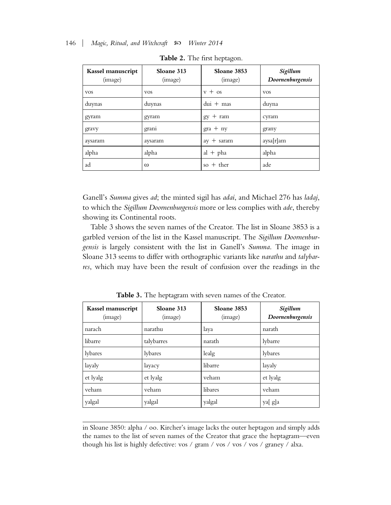| Kassel manuscript<br>(image) | Sloane 313<br>(image) | Sloane 3853<br>(image)   | Sigillum<br>Doornenburgensis |
|------------------------------|-----------------------|--------------------------|------------------------------|
| <b>VOS</b>                   | <b>VOS</b>            | $v + os$                 | <b>VOS</b>                   |
| duynas                       | duynas                | $du$ + mas               | duyna                        |
| gyram                        | gyram                 | $gy + ram$               | cyram                        |
| gravy                        | grani                 | $\text{gra} + \text{ny}$ | grany                        |
| aysaram                      | aysaram               | $+$ saram<br>ay          | aysa[r]am                    |
| alpha                        | alpha                 | $al + pha$               | alpha                        |
| ad                           | $\omega$              | so $+$ ther              | ade                          |

**Table 2.** The first heptagon.

Ganell's *Summa* gives *ad*; the minted sigil has *adai*, and Michael 276 has *ladaj*, to which the *Sigillum Doornenburgensis* more or less complies with *ade*, thereby showing its Continental roots.

Table 3 shows the seven names of the Creator. The list in Sloane 3853 is a garbled version of the list in the Kassel manuscript. The *Sigillum Doornenburgensis* is largely consistent with the list in Ganell's *Summa*. The image in Sloane 313 seems to differ with orthographic variants like *narathu* and *talybarres*, which may have been the result of confusion over the readings in the

| Kassel manuscript<br>(image) | Sloane 313<br>(image) | Sloane 3853<br>(image) | Sigillum<br>Doornenburgensis |
|------------------------------|-----------------------|------------------------|------------------------------|
| narach                       | narathu               | laya                   | narath                       |
| libarre                      | talybarres            | narath                 | lybarre                      |
| lybares                      | lybares               | lealg                  | lybares                      |
| layaly                       | layacy                | libarre                | layaly                       |
| et lyalg                     | et lyalg              | veham                  | et lyalg                     |
| veham                        | veham                 | libares                | veham                        |
| yalgal                       | yalgal                | yalgal                 | ya[g]a                       |

**Table 3.** The heptagram with seven names of the Creator.

in Sloane 3850: alpha / oo. Kircher's image lacks the outer heptagon and simply adds the names to the list of seven names of the Creator that grace the heptagram—even though his list is highly defective: vos / gram / vos / vos / vos / graney / alxa.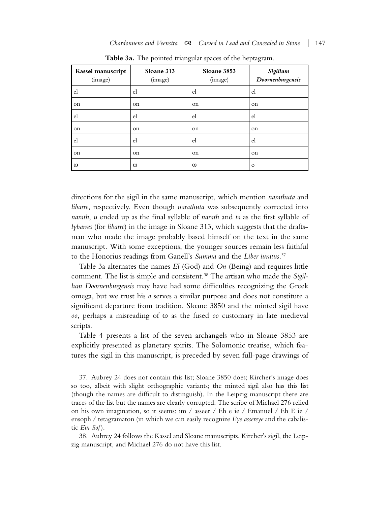| Kassel manuscript<br>(image) | Sloane 313<br>(image) | Sloane 3853<br>(image) | Sigillum<br>Doornenburgensis |
|------------------------------|-----------------------|------------------------|------------------------------|
| el                           | el                    | el                     | el                           |
| on                           | on                    | on                     | on                           |
| el                           | el                    | el                     | el                           |
| on                           | on                    | on                     | on                           |
| el                           | el                    | el                     | el                           |
| on                           | on                    | on                     | on                           |
| $\omega$                     | $\omega$              | $\omega$               | $\circ$                      |

**Table 3a.** The pointed triangular spaces of the heptagram.

directions for the sigil in the same manuscript, which mention *narathuta* and *libarre*, respectively. Even though *narathuta* was subsequently corrected into *narath*, *u* ended up as the final syllable of *narath* and *ta* as the first syllable of *lybarres* (for *libarre*) in the image in Sloane 313, which suggests that the draftsman who made the image probably based himself on the text in the same manuscript. With some exceptions, the younger sources remain less faithful to the Honorius readings from Ganell's *Summa* and the *Liber iuratus*. 37

Table 3a alternates the names *El* (God) and *On* (Being) and requires little comment. The list is simple and consistent.38 The artisan who made the *Sigillum Doornenburgensis* may have had some difficulties recognizing the Greek omega, but we trust his *o* serves a similar purpose and does not constitute a significant departure from tradition. Sloane 3850 and the minted sigil have *oo*, perhaps a misreading of ω as the fused *oo* customary in late medieval scripts.

Table 4 presents a list of the seven archangels who in Sloane 3853 are explicitly presented as planetary spirits. The Solomonic treatise, which features the sigil in this manuscript, is preceded by seven full-page drawings of

<sup>37.</sup> Aubrey 24 does not contain this list; Sloane 3850 does; Kircher's image does so too, albeit with slight orthographic variants; the minted sigil also has this list (though the names are difficult to distinguish). In the Leipzig manuscript there are traces of the list but the names are clearly corrupted. The scribe of Michael 276 relied on his own imagination, so it seems: im / asseer / Eh e ie / Emanuel / Eh E ie / ensoph / tetagramaton (in which we can easily recognize *Eye assereye* and the cabalistic *Ein Sof*).

<sup>38.</sup> Aubrey 24 follows the Kassel and Sloane manuscripts. Kircher's sigil, the Leipzig manuscript, and Michael 276 do not have this list.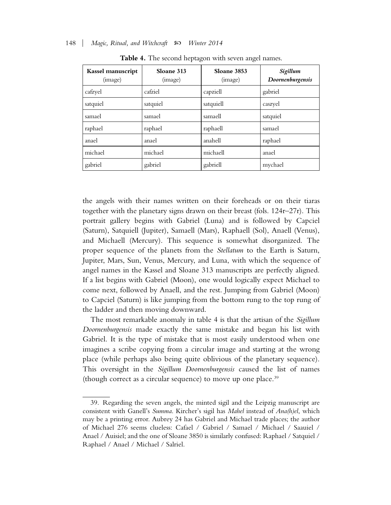| Kassel manuscript<br>(image) | Sloane 313<br>(image) | Sloane 3853<br>(image) | Sigillum<br>Doornenburgensis |
|------------------------------|-----------------------|------------------------|------------------------------|
| cafzyel                      | cafziel               | capziell               | gabriel                      |
| satquiel                     | satquiel              | satquiell              | caszyel                      |
| samael                       | samael                | samaell                | satquiel                     |
| raphael                      | raphael               | raphaell               | samael                       |
| anael                        | anael                 | anahell                | raphael                      |
| michael                      | michael               | michaell               | anael                        |
| gabriel                      | gabriel               | gabriell               | mychael                      |

**Table 4.** The second heptagon with seven angel names.

the angels with their names written on their foreheads or on their tiaras together with the planetary signs drawn on their breast (fols. 124r–27r). This portrait gallery begins with Gabriel (Luna) and is followed by Capciel (Saturn), Satquiell (Jupiter), Samaell (Mars), Raphaell (Sol), Anaell (Venus), and Michaell (Mercury). This sequence is somewhat disorganized. The proper sequence of the planets from the *Stellatum* to the Earth is Saturn, Jupiter, Mars, Sun, Venus, Mercury, and Luna, with which the sequence of angel names in the Kassel and Sloane 313 manuscripts are perfectly aligned. If a list begins with Gabriel (Moon), one would logically expect Michael to come next, followed by Anaell, and the rest. Jumping from Gabriel (Moon) to Capciel (Saturn) is like jumping from the bottom rung to the top rung of the ladder and then moving downward.

The most remarkable anomaly in table 4 is that the artisan of the *Sigillum Doornenburgensis* made exactly the same mistake and began his list with Gabriel. It is the type of mistake that is most easily understood when one imagines a scribe copying from a circular image and starting at the wrong place (while perhaps also being quite oblivious of the planetary sequence). This oversight in the *Sigillum Doornenburgensis* caused the list of names (though correct as a circular sequence) to move up one place.<sup>39</sup>

<sup>39.</sup> Regarding the seven angels, the minted sigil and the Leipzig manuscript are consistent with Ganell's *Summa*. Kircher's sigil has *Mahel* instead of *Ana(h)el*, which may be a printing error. Aubrey 24 has Gabriel and Michael trade places; the author of Michael 276 seems clueless: Cafael / Gabriel / Samael / Michael / Saauiel / Anael / Auisiel; and the one of Sloane 3850 is similarly confused: Raphael / Satquiel / Raphael / Anael / Michael / Salriel.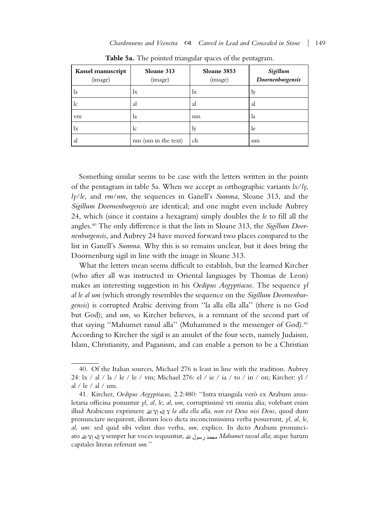| Kassel manuscript<br>(image) | Sloane 313<br>(image) | Sloane 3853<br>(image) | Sigillum<br>Doornenburgensis |
|------------------------------|-----------------------|------------------------|------------------------------|
| la                           | lx                    | lx                     | 1v                           |
| lc                           | al                    | al                     | al                           |
| vm                           | la                    | nm                     | la                           |
| $\rm{lx}$                    | lc                    | $\rm_{ly}$             | le                           |
| al                           | nm (um in the text)   | ch                     | nm                           |

**Table 5a.** The pointed triangular spaces of the pentagram.

Something similar seems to be case with the letters written in the points of the pentagram in table 5a. When we accept as orthographic variants *lx*/*ly*, *ly*/*le*, and *vm*/*nm*, the sequences in Ganell's *Summa*, Sloane 313, and the *Sigillum Doornenburgensis* are identical; and one might even include Aubrey 24, which (since it contains a hexagram) simply doubles the *le* to fill all the angles.40 The only difference is that the lists in Sloane 313, the *Sigillum Doornenburgensis*, and Aubrey 24 have moved forward two places compared to the list in Ganell's *Summa*. Why this is so remains unclear, but it does bring the Doornenburg sigil in line with the image in Sloane 313.

What the letters mean seems difficult to establish, but the learned Kircher (who after all was instructed in Oriental languages by Thomas de Leon) makes an interesting suggestion in his *Oedipus Aegyptiacus*. The sequence *yl al le al um* (which strongly resembles the sequence on the *Sigillum Doornenburgensis*) is corrupted Arabic deriving from ''la alla ella alla'' (there is no God but God); and *um*, so Kircher believes, is a remnant of the second part of that saying "Mahumet rassul alla" (Muhammed is the messenger of God).<sup>41</sup> According to Kircher the sigil is an amulet of the four sects, namely Judaism, Islam, Christianity, and Paganism, and can enable a person to be a Christian

<sup>40.</sup> Of the Italian sources, Michael 276 is least in line with the tradition. Aubrey 24: lx / al / la / le / le / vm; Michael 276: el / ie / ia / to / in / on; Kircher: yl / al / le / al / um.

<sup>41.</sup> Kircher, *Oedipus Aegyptiacus*, 2.2:480: ''Intra triangula vero` ex Arabum amuletaria officina ponuntur *yl*, *al*, *le*, *al*, *um*, corruptissime` vti omnia alia; volebant enim illud Arabicum exprimere *la alla ella alla*, *non est Deus nisi Deus*, quod dum pronunciare nequirent, illorum loco dicta inconcinnissima verba posuerunt, *yl*, *al*, *le*, *al*, *um*: sed quid sibi velint duo verba, *um*, explico. In dicto Arabum pronunciato semper hæ voces sequuntur, *Mahumet rassul alla*; atque harum capitales literas referunt *um*.''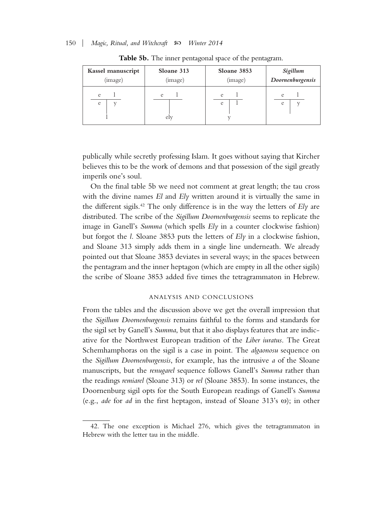| Kassel manuscript | Sloane 313 | Sloane 3853 | Sigillum         |
|-------------------|------------|-------------|------------------|
| (image)           | (image)    | (image)     | Doornenburgensis |
| e                 | e          | e           | e                |
| e                 | elv        | e           | e                |

**Table 5b.** The inner pentagonal space of the pentagram.

publically while secretly professing Islam. It goes without saying that Kircher believes this to be the work of demons and that possession of the sigil greatly imperils one's soul.

On the final table 5b we need not comment at great length; the tau cross with the divine names *El* and *Ely* written around it is virtually the same in the different sigils.42 The only difference is in the way the letters of *Ely* are distributed. The scribe of the *Sigillum Doornenburgensis* seems to replicate the image in Ganell's *Summa* (which spells *Ely* in a counter clockwise fashion) but forgot the *l*. Sloane 3853 puts the letters of *Ely* in a clockwise fashion, and Sloane 313 simply adds them in a single line underneath. We already pointed out that Sloane 3853 deviates in several ways; in the spaces between the pentagram and the inner heptagon (which are empty in all the other sigils) the scribe of Sloane 3853 added five times the tetragrammaton in Hebrew.

#### ANALYSIS AND CONCLUSIONS

From the tables and the discussion above we get the overall impression that the *Sigillum Doornenburgensis* remains faithful to the forms and standards for the sigil set by Ganell's *Summa*, but that it also displays features that are indicative for the Northwest European tradition of the *Liber iuratus*. The Great Schemhamphoras on the sigil is a case in point. The *algaonosu* sequence on the *Sigillum Doornenburgensis*, for example, has the intrusive *a* of the Sloane manuscripts, but the *renugarel* sequence follows Ganell's *Summa* rather than the readings *remiarel* (Sloane 313) or *rel* (Sloane 3853). In some instances, the Doornenburg sigil opts for the South European readings of Ganell's *Summa* (e.g., *ade* for *ad* in the first heptagon, instead of Sloane 313's ω); in other

<sup>42.</sup> The one exception is Michael 276, which gives the tetragrammaton in Hebrew with the letter tau in the middle.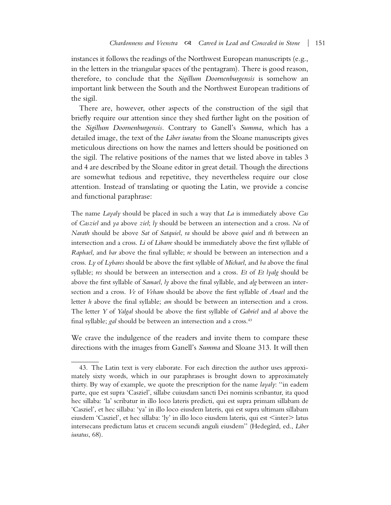instances it follows the readings of the Northwest European manuscripts (e.g., in the letters in the triangular spaces of the pentagram). There is good reason, therefore, to conclude that the *Sigillum Doornenburgensis* is somehow an important link between the South and the Northwest European traditions of the sigil.

There are, however, other aspects of the construction of the sigil that briefly require our attention since they shed further light on the position of the *Sigillum Doornenburgensis*. Contrary to Ganell's *Summa*, which has a detailed image, the text of the *Liber iuratus* from the Sloane manuscripts gives meticulous directions on how the names and letters should be positioned on the sigil. The relative positions of the names that we listed above in tables 3 and 4 are described by the Sloane editor in great detail. Though the directions are somewhat tedious and repetitive, they nevertheless require our close attention. Instead of translating or quoting the Latin, we provide a concise and functional paraphrase:

The name *Layaly* should be placed in such a way that *La* is immediately above *Cas* of *Casziel* and *ya* above *ziel*; *ly* should be between an intersection and a cross. *Na* of *Narath* should be above *Sat* of *Satquiel*, *ra* should be above *quiel* and *th* between an intersection and a cross. *Li* of *Libarre* should be immediately above the first syllable of *Raphael*, and *bar* above the final syllable; *re* should be between an intersection and a cross. *Ly* of *Lybares* should be above the first syllable of *Michael*, and *ba* above the final syllable; *res* should be between an intersection and a cross. *Et* of *Et lyalg* should be above the first syllable of *Samael*, *ly* above the final syllable, and *alg* between an intersection and a cross. *Ve* of *Veham* should be above the first syllable of *Anael* and the letter *h* above the final syllable; *am* should be between an intersection and a cross. The letter *Y* of *Yalgal* should be above the first syllable of *Gabriel* and *al* above the final syllable; *gal* should be between an intersection and a cross.<sup>43</sup>

We crave the indulgence of the readers and invite them to compare these directions with the images from Ganell's *Summa* and Sloane 313. It will then

<sup>43.</sup> The Latin text is very elaborate. For each direction the author uses approximately sixty words, which in our paraphrases is brought down to approximately thirty. By way of example, we quote the prescription for the name *layaly*: ''in eadem parte, que est supra 'Casziel', sillabe cuiusdam sancti Dei nominis scribantur, ita quod hec sillaba: 'la' scribatur in illo loco lateris predicti, qui est supra primam sillabam de 'Casziel', et hec sillaba: 'ya' in illo loco eiusdem lateris, qui est supra ultimam sillabam eiusdem 'Casziel', et hec sillaba: 'ly' in illo loco eiusdem lateris, qui est <inter> latus intersecans predictum latus et crucem secundi anguli eiusdem'' (Hedega˚rd, ed., *Liber iuratus*, 68).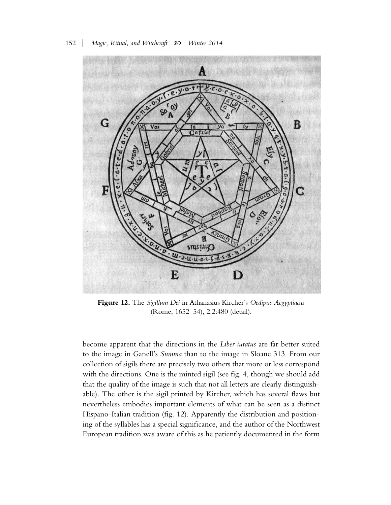

**Figure 12.** The *Sigillum Dei* in Athanasius Kircher's *Oedipus Aegyptiacus* (Rome, 1652–54), 2.2:480 (detail).

become apparent that the directions in the *Liber iuratus* are far better suited to the image in Ganell's *Summa* than to the image in Sloane 313. From our collection of sigils there are precisely two others that more or less correspond with the directions. One is the minted sigil (see fig. 4, though we should add that the quality of the image is such that not all letters are clearly distinguishable). The other is the sigil printed by Kircher, which has several flaws but nevertheless embodies important elements of what can be seen as a distinct Hispano-Italian tradition (fig. 12). Apparently the distribution and positioning of the syllables has a special significance, and the author of the Northwest European tradition was aware of this as he patiently documented in the form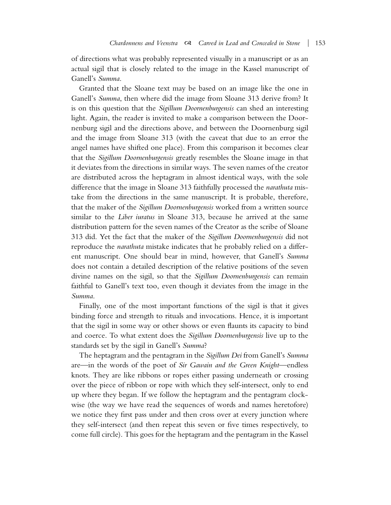of directions what was probably represented visually in a manuscript or as an actual sigil that is closely related to the image in the Kassel manuscript of Ganell's *Summa*.

Granted that the Sloane text may be based on an image like the one in Ganell's *Summa*, then where did the image from Sloane 313 derive from? It is on this question that the *Sigillum Doornenburgensis* can shed an interesting light. Again, the reader is invited to make a comparison between the Doornenburg sigil and the directions above, and between the Doornenburg sigil and the image from Sloane 313 (with the caveat that due to an error the angel names have shifted one place). From this comparison it becomes clear that the *Sigillum Doornenburgensis* greatly resembles the Sloane image in that it deviates from the directions in similar ways. The seven names of the creator are distributed across the heptagram in almost identical ways, with the sole difference that the image in Sloane 313 faithfully processed the *narathuta* mistake from the directions in the same manuscript. It is probable, therefore, that the maker of the *Sigillum Doornenburgensis* worked from a written source similar to the *Liber iuratus* in Sloane 313, because he arrived at the same distribution pattern for the seven names of the Creator as the scribe of Sloane 313 did. Yet the fact that the maker of the *Sigillum Doornenburgensis* did not reproduce the *narathuta* mistake indicates that he probably relied on a different manuscript. One should bear in mind, however, that Ganell's *Summa* does not contain a detailed description of the relative positions of the seven divine names on the sigil, so that the *Sigillum Doornenburgensis* can remain faithful to Ganell's text too, even though it deviates from the image in the *Summa*.

Finally, one of the most important functions of the sigil is that it gives binding force and strength to rituals and invocations. Hence, it is important that the sigil in some way or other shows or even flaunts its capacity to bind and coerce. To what extent does the *Sigillum Doornenburgensis* live up to the standards set by the sigil in Ganell's *Summa*?

The heptagram and the pentagram in the *Sigillum Dei* from Ganell's *Summa* are—in the words of the poet of *Sir Gawain and the Green Knight*—endless knots. They are like ribbons or ropes either passing underneath or crossing over the piece of ribbon or rope with which they self-intersect, only to end up where they began. If we follow the heptagram and the pentagram clockwise (the way we have read the sequences of words and names heretofore) we notice they first pass under and then cross over at every junction where they self-intersect (and then repeat this seven or five times respectively, to come full circle). This goes for the heptagram and the pentagram in the Kassel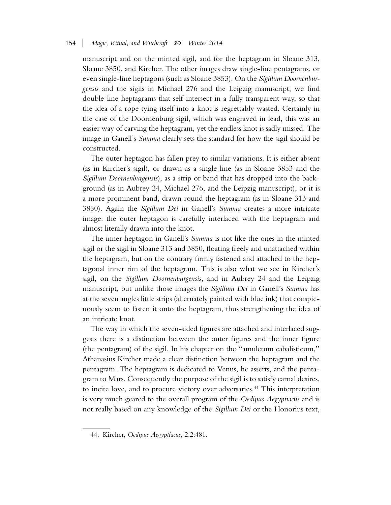manuscript and on the minted sigil, and for the heptagram in Sloane 313, Sloane 3850, and Kircher. The other images draw single-line pentagrams, or even single-line heptagons (such as Sloane 3853). On the *Sigillum Doornenburgensis* and the sigils in Michael 276 and the Leipzig manuscript, we find double-line heptagrams that self-intersect in a fully transparent way, so that the idea of a rope tying itself into a knot is regrettably wasted. Certainly in the case of the Doornenburg sigil, which was engraved in lead, this was an easier way of carving the heptagram, yet the endless knot is sadly missed. The image in Ganell's *Summa* clearly sets the standard for how the sigil should be constructed.

The outer heptagon has fallen prey to similar variations. It is either absent (as in Kircher's sigil), or drawn as a single line (as in Sloane 3853 and the *Sigillum Doornenburgensis*), as a strip or band that has dropped into the background (as in Aubrey 24, Michael 276, and the Leipzig manuscript), or it is a more prominent band, drawn round the heptagram (as in Sloane 313 and 3850). Again the *Sigillum Dei* in Ganell's *Summa* creates a more intricate image: the outer heptagon is carefully interlaced with the heptagram and almost literally drawn into the knot.

The inner heptagon in Ganell's *Summa* is not like the ones in the minted sigil or the sigil in Sloane 313 and 3850, floating freely and unattached within the heptagram, but on the contrary firmly fastened and attached to the heptagonal inner rim of the heptagram. This is also what we see in Kircher's sigil, on the *Sigillum Doornenburgensis*, and in Aubrey 24 and the Leipzig manuscript, but unlike those images the *Sigillum Dei* in Ganell's *Summa* has at the seven angles little strips (alternately painted with blue ink) that conspicuously seem to fasten it onto the heptagram, thus strengthening the idea of an intricate knot.

The way in which the seven-sided figures are attached and interlaced suggests there is a distinction between the outer figures and the inner figure (the pentagram) of the sigil. In his chapter on the ''amuletum cabalisticum,'' Athanasius Kircher made a clear distinction between the heptagram and the pentagram. The heptagram is dedicated to Venus, he asserts, and the pentagram to Mars. Consequently the purpose of the sigil is to satisfy carnal desires, to incite love, and to procure victory over adversaries.44 This interpretation is very much geared to the overall program of the *Oedipus Aegyptiacus* and is not really based on any knowledge of the *Sigillum Dei* or the Honorius text,

<sup>44.</sup> Kircher, *Oedipus Aegyptiacus*, 2.2:481.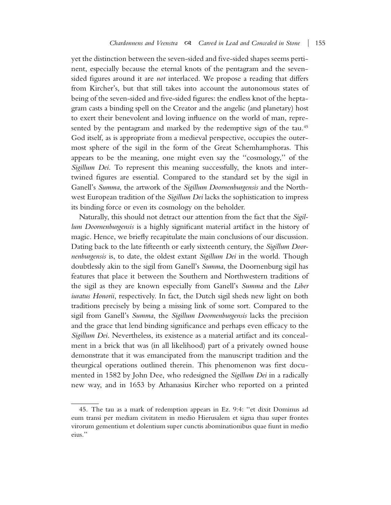yet the distinction between the seven-sided and five-sided shapes seems pertinent, especially because the eternal knots of the pentagram and the sevensided figures around it are *not* interlaced. We propose a reading that differs from Kircher's, but that still takes into account the autonomous states of being of the seven-sided and five-sided figures: the endless knot of the heptagram casts a binding spell on the Creator and the angelic (and planetary) host to exert their benevolent and loving influence on the world of man, represented by the pentagram and marked by the redemptive sign of the tau.<sup>45</sup> God itself, as is appropriate from a medieval perspective, occupies the outermost sphere of the sigil in the form of the Great Schemhamphoras. This appears to be the meaning, one might even say the ''cosmology,'' of the *Sigillum Dei*. To represent this meaning successfully, the knots and intertwined figures are essential. Compared to the standard set by the sigil in Ganell's *Summa*, the artwork of the *Sigillum Doornenburgensis* and the Northwest European tradition of the *Sigillum Dei* lacks the sophistication to impress its binding force or even its cosmology on the beholder.

Naturally, this should not detract our attention from the fact that the *Sigillum Doornenburgensis* is a highly significant material artifact in the history of magic. Hence, we briefly recapitulate the main conclusions of our discussion. Dating back to the late fifteenth or early sixteenth century, the *Sigillum Doornenburgensis* is, to date, the oldest extant *Sigillum Dei* in the world. Though doubtlessly akin to the sigil from Ganell's *Summa*, the Doornenburg sigil has features that place it between the Southern and Northwestern traditions of the sigil as they are known especially from Ganell's *Summa* and the *Liber iuratus Honorii*, respectively. In fact, the Dutch sigil sheds new light on both traditions precisely by being a missing link of some sort. Compared to the sigil from Ganell's *Summa*, the *Sigillum Doornenburgensis* lacks the precision and the grace that lend binding significance and perhaps even efficacy to the *Sigillum Dei*. Nevertheless, its existence as a material artifact and its concealment in a brick that was (in all likelihood) part of a privately owned house demonstrate that it was emancipated from the manuscript tradition and the theurgical operations outlined therein. This phenomenon was first documented in 1582 by John Dee, who redesigned the *Sigillum Dei* in a radically new way, and in 1653 by Athanasius Kircher who reported on a printed

<sup>45.</sup> The tau as a mark of redemption appears in Ez. 9:4: ''et dixit Dominus ad eum transi per mediam civitatem in medio Hierusalem et signa thau super frontes virorum gementium et dolentium super cunctis abominationibus quae fiunt in medio eius.''